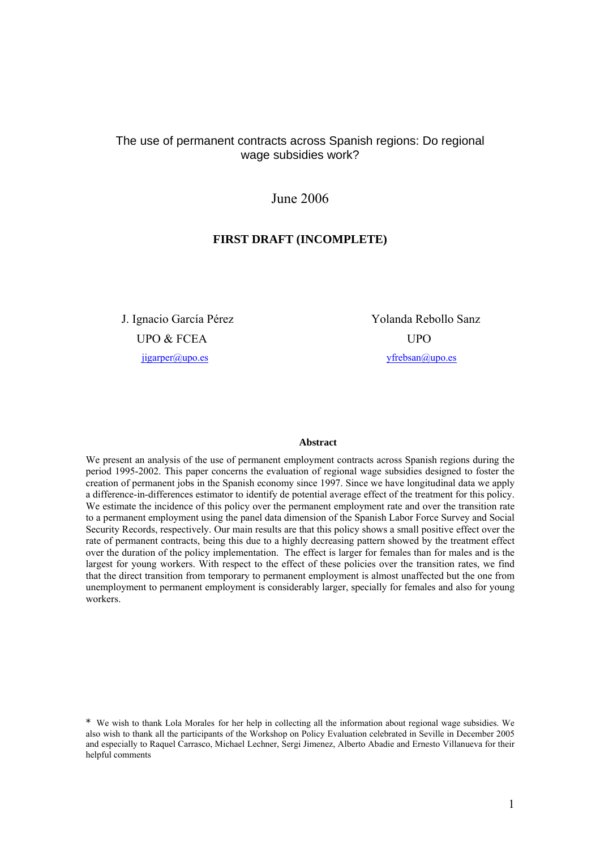# The use of permanent contracts across Spanish regions: Do regional wage subsidies work?

# June 2006

## **FIRST DRAFT (INCOMPLETE)**

J. Ignacio García Pérez Yolanda Rebollo Sanz UPO & FCEA UPO jigarper@upo.es yfrebsan@upo.es

#### **Abstract**

We present an analysis of the use of permanent employment contracts across Spanish regions during the period 1995-2002. This paper concerns the evaluation of regional wage subsidies designed to foster the creation of permanent jobs in the Spanish economy since 1997. Since we have longitudinal data we apply a difference-in-differences estimator to identify de potential average effect of the treatment for this policy. We estimate the incidence of this policy over the permanent employment rate and over the transition rate to a permanent employment using the panel data dimension of the Spanish Labor Force Survey and Social Security Records, respectively. Our main results are that this policy shows a small positive effect over the rate of permanent contracts, being this due to a highly decreasing pattern showed by the treatment effect over the duration of the policy implementation. The effect is larger for females than for males and is the largest for young workers. With respect to the effect of these policies over the transition rates, we find that the direct transition from temporary to permanent employment is almost unaffected but the one from unemployment to permanent employment is considerably larger, specially for females and also for young workers.

\* We wish to thank Lola Morales for her help in collecting all the information about regional wage subsidies. We also wish to thank all the participants of the Workshop on Policy Evaluation celebrated in Seville in December 2005 and especially to Raquel Carrasco, Michael Lechner, Sergi Jimenez, Alberto Abadie and Ernesto Villanueva for their helpful comments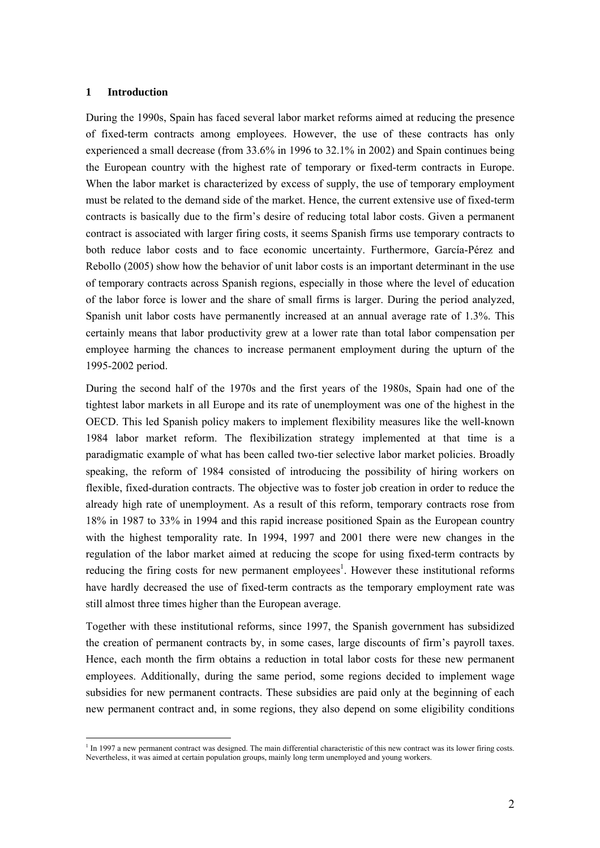### **1 Introduction**

 $\overline{a}$ 

During the 1990s, Spain has faced several labor market reforms aimed at reducing the presence of fixed-term contracts among employees. However, the use of these contracts has only experienced a small decrease (from 33.6% in 1996 to 32.1% in 2002) and Spain continues being the European country with the highest rate of temporary or fixed-term contracts in Europe. When the labor market is characterized by excess of supply, the use of temporary employment must be related to the demand side of the market. Hence, the current extensive use of fixed-term contracts is basically due to the firm's desire of reducing total labor costs. Given a permanent contract is associated with larger firing costs, it seems Spanish firms use temporary contracts to both reduce labor costs and to face economic uncertainty. Furthermore, García-Pérez and Rebollo (2005) show how the behavior of unit labor costs is an important determinant in the use of temporary contracts across Spanish regions, especially in those where the level of education of the labor force is lower and the share of small firms is larger. During the period analyzed, Spanish unit labor costs have permanently increased at an annual average rate of 1.3%. This certainly means that labor productivity grew at a lower rate than total labor compensation per employee harming the chances to increase permanent employment during the upturn of the 1995-2002 period.

During the second half of the 1970s and the first years of the 1980s, Spain had one of the tightest labor markets in all Europe and its rate of unemployment was one of the highest in the OECD. This led Spanish policy makers to implement flexibility measures like the well-known 1984 labor market reform. The flexibilization strategy implemented at that time is a paradigmatic example of what has been called two-tier selective labor market policies. Broadly speaking, the reform of 1984 consisted of introducing the possibility of hiring workers on flexible, fixed-duration contracts. The objective was to foster job creation in order to reduce the already high rate of unemployment. As a result of this reform, temporary contracts rose from 18% in 1987 to 33% in 1994 and this rapid increase positioned Spain as the European country with the highest temporality rate. In 1994, 1997 and 2001 there were new changes in the regulation of the labor market aimed at reducing the scope for using fixed-term contracts by reducing the firing costs for new permanent employees<sup>1</sup>. However these institutional reforms have hardly decreased the use of fixed-term contracts as the temporary employment rate was still almost three times higher than the European average.

Together with these institutional reforms, since 1997, the Spanish government has subsidized the creation of permanent contracts by, in some cases, large discounts of firm's payroll taxes. Hence, each month the firm obtains a reduction in total labor costs for these new permanent employees. Additionally, during the same period, some regions decided to implement wage subsidies for new permanent contracts. These subsidies are paid only at the beginning of each new permanent contract and, in some regions, they also depend on some eligibility conditions

<sup>&</sup>lt;sup>1</sup> In 1997 a new permanent contract was designed. The main differential characteristic of this new contract was its lower firing costs. Nevertheless, it was aimed at certain population groups, mainly long term unemployed and young workers.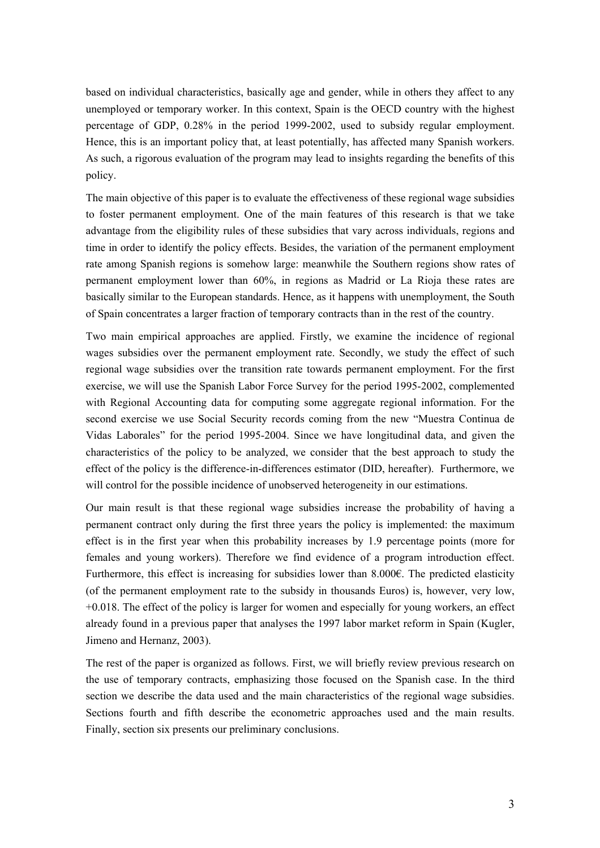based on individual characteristics, basically age and gender, while in others they affect to any unemployed or temporary worker. In this context, Spain is the OECD country with the highest percentage of GDP, 0.28% in the period 1999-2002, used to subsidy regular employment. Hence, this is an important policy that, at least potentially, has affected many Spanish workers. As such, a rigorous evaluation of the program may lead to insights regarding the benefits of this policy.

The main objective of this paper is to evaluate the effectiveness of these regional wage subsidies to foster permanent employment. One of the main features of this research is that we take advantage from the eligibility rules of these subsidies that vary across individuals, regions and time in order to identify the policy effects. Besides, the variation of the permanent employment rate among Spanish regions is somehow large: meanwhile the Southern regions show rates of permanent employment lower than 60%, in regions as Madrid or La Rioja these rates are basically similar to the European standards. Hence, as it happens with unemployment, the South of Spain concentrates a larger fraction of temporary contracts than in the rest of the country.

Two main empirical approaches are applied. Firstly, we examine the incidence of regional wages subsidies over the permanent employment rate. Secondly, we study the effect of such regional wage subsidies over the transition rate towards permanent employment. For the first exercise, we will use the Spanish Labor Force Survey for the period 1995-2002, complemented with Regional Accounting data for computing some aggregate regional information. For the second exercise we use Social Security records coming from the new "Muestra Continua de Vidas Laborales" for the period 1995-2004. Since we have longitudinal data, and given the characteristics of the policy to be analyzed, we consider that the best approach to study the effect of the policy is the difference-in-differences estimator (DID, hereafter). Furthermore, we will control for the possible incidence of unobserved heterogeneity in our estimations.

Our main result is that these regional wage subsidies increase the probability of having a permanent contract only during the first three years the policy is implemented: the maximum effect is in the first year when this probability increases by 1.9 percentage points (more for females and young workers). Therefore we find evidence of a program introduction effect. Furthermore, this effect is increasing for subsidies lower than 8.000€. The predicted elasticity (of the permanent employment rate to the subsidy in thousands Euros) is, however, very low, +0.018. The effect of the policy is larger for women and especially for young workers, an effect already found in a previous paper that analyses the 1997 labor market reform in Spain (Kugler, Jimeno and Hernanz, 2003).

The rest of the paper is organized as follows. First, we will briefly review previous research on the use of temporary contracts, emphasizing those focused on the Spanish case. In the third section we describe the data used and the main characteristics of the regional wage subsidies. Sections fourth and fifth describe the econometric approaches used and the main results. Finally, section six presents our preliminary conclusions.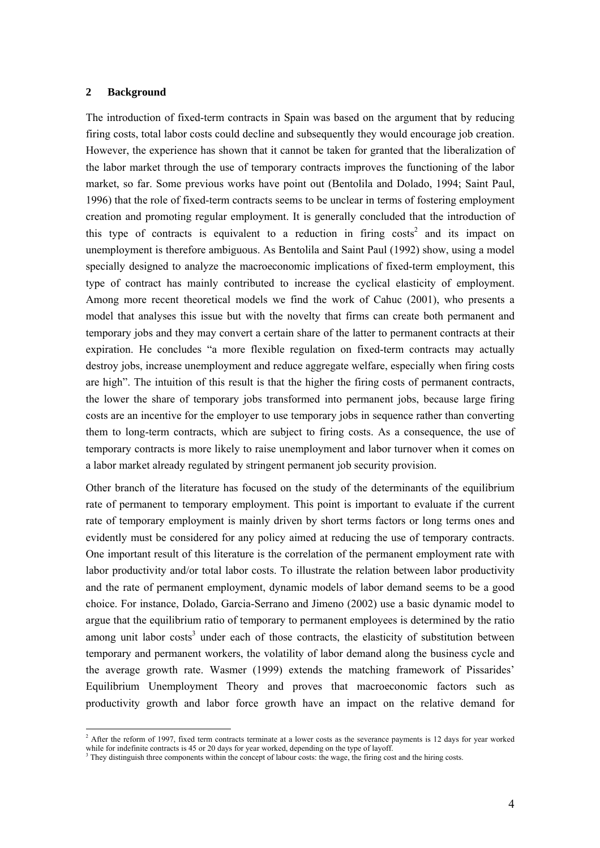### **2 Background**

 $\overline{a}$ 

The introduction of fixed-term contracts in Spain was based on the argument that by reducing firing costs, total labor costs could decline and subsequently they would encourage job creation. However, the experience has shown that it cannot be taken for granted that the liberalization of the labor market through the use of temporary contracts improves the functioning of the labor market, so far. Some previous works have point out (Bentolila and Dolado, 1994; Saint Paul, 1996) that the role of fixed-term contracts seems to be unclear in terms of fostering employment creation and promoting regular employment. It is generally concluded that the introduction of this type of contracts is equivalent to a reduction in firing  $costs<sup>2</sup>$  and its impact on unemployment is therefore ambiguous. As Bentolila and Saint Paul (1992) show, using a model specially designed to analyze the macroeconomic implications of fixed-term employment, this type of contract has mainly contributed to increase the cyclical elasticity of employment. Among more recent theoretical models we find the work of Cahuc (2001), who presents a model that analyses this issue but with the novelty that firms can create both permanent and temporary jobs and they may convert a certain share of the latter to permanent contracts at their expiration. He concludes "a more flexible regulation on fixed-term contracts may actually destroy jobs, increase unemployment and reduce aggregate welfare, especially when firing costs are high". The intuition of this result is that the higher the firing costs of permanent contracts, the lower the share of temporary jobs transformed into permanent jobs, because large firing costs are an incentive for the employer to use temporary jobs in sequence rather than converting them to long-term contracts, which are subject to firing costs. As a consequence, the use of temporary contracts is more likely to raise unemployment and labor turnover when it comes on a labor market already regulated by stringent permanent job security provision.

Other branch of the literature has focused on the study of the determinants of the equilibrium rate of permanent to temporary employment. This point is important to evaluate if the current rate of temporary employment is mainly driven by short terms factors or long terms ones and evidently must be considered for any policy aimed at reducing the use of temporary contracts. One important result of this literature is the correlation of the permanent employment rate with labor productivity and/or total labor costs. To illustrate the relation between labor productivity and the rate of permanent employment, dynamic models of labor demand seems to be a good choice. For instance, Dolado, Garcia-Serrano and Jimeno (2002) use a basic dynamic model to argue that the equilibrium ratio of temporary to permanent employees is determined by the ratio among unit labor  $costs<sup>3</sup>$  under each of those contracts, the elasticity of substitution between temporary and permanent workers, the volatility of labor demand along the business cycle and the average growth rate. Wasmer (1999) extends the matching framework of Pissarides' Equilibrium Unemployment Theory and proves that macroeconomic factors such as productivity growth and labor force growth have an impact on the relative demand for

<sup>&</sup>lt;sup>2</sup> After the reform of 1997, fixed term contracts terminate at a lower costs as the severance payments is 12 days for year worked while for indefinite contracts is 45 or 20 days for year worked, depending on the type of layoff.

They distinguish three components within the concept of labour costs: the wage, the firing cost and the hiring costs.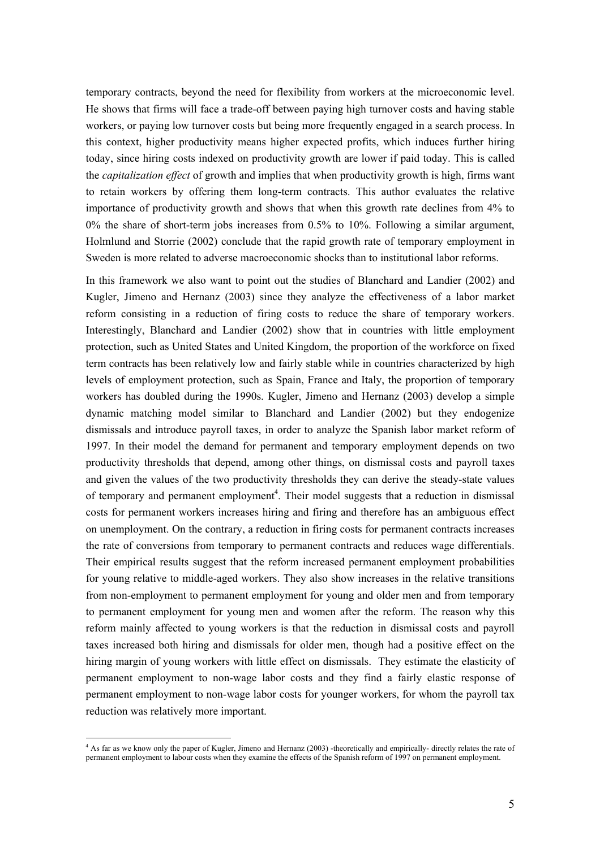temporary contracts, beyond the need for flexibility from workers at the microeconomic level. He shows that firms will face a trade-off between paying high turnover costs and having stable workers, or paying low turnover costs but being more frequently engaged in a search process. In this context, higher productivity means higher expected profits, which induces further hiring today, since hiring costs indexed on productivity growth are lower if paid today. This is called the *capitalization effect* of growth and implies that when productivity growth is high, firms want to retain workers by offering them long-term contracts. This author evaluates the relative importance of productivity growth and shows that when this growth rate declines from 4% to 0% the share of short-term jobs increases from 0.5% to 10%. Following a similar argument, Holmlund and Storrie (2002) conclude that the rapid growth rate of temporary employment in Sweden is more related to adverse macroeconomic shocks than to institutional labor reforms.

In this framework we also want to point out the studies of Blanchard and Landier (2002) and Kugler, Jimeno and Hernanz (2003) since they analyze the effectiveness of a labor market reform consisting in a reduction of firing costs to reduce the share of temporary workers. Interestingly, Blanchard and Landier (2002) show that in countries with little employment protection, such as United States and United Kingdom, the proportion of the workforce on fixed term contracts has been relatively low and fairly stable while in countries characterized by high levels of employment protection, such as Spain, France and Italy, the proportion of temporary workers has doubled during the 1990s. Kugler, Jimeno and Hernanz (2003) develop a simple dynamic matching model similar to Blanchard and Landier (2002) but they endogenize dismissals and introduce payroll taxes, in order to analyze the Spanish labor market reform of 1997. In their model the demand for permanent and temporary employment depends on two productivity thresholds that depend, among other things, on dismissal costs and payroll taxes and given the values of the two productivity thresholds they can derive the steady-state values of temporary and permanent employment<sup>4</sup>. Their model suggests that a reduction in dismissal costs for permanent workers increases hiring and firing and therefore has an ambiguous effect on unemployment. On the contrary, a reduction in firing costs for permanent contracts increases the rate of conversions from temporary to permanent contracts and reduces wage differentials. Their empirical results suggest that the reform increased permanent employment probabilities for young relative to middle-aged workers. They also show increases in the relative transitions from non-employment to permanent employment for young and older men and from temporary to permanent employment for young men and women after the reform. The reason why this reform mainly affected to young workers is that the reduction in dismissal costs and payroll taxes increased both hiring and dismissals for older men, though had a positive effect on the hiring margin of young workers with little effect on dismissals. They estimate the elasticity of permanent employment to non-wage labor costs and they find a fairly elastic response of permanent employment to non-wage labor costs for younger workers, for whom the payroll tax reduction was relatively more important.

<sup>4</sup> As far as we know only the paper of Kugler, Jimeno and Hernanz (2003) -theoretically and empirically- directly relates the rate of permanent employment to labour costs when they examine the effects of the Spanish reform of 1997 on permanent employment.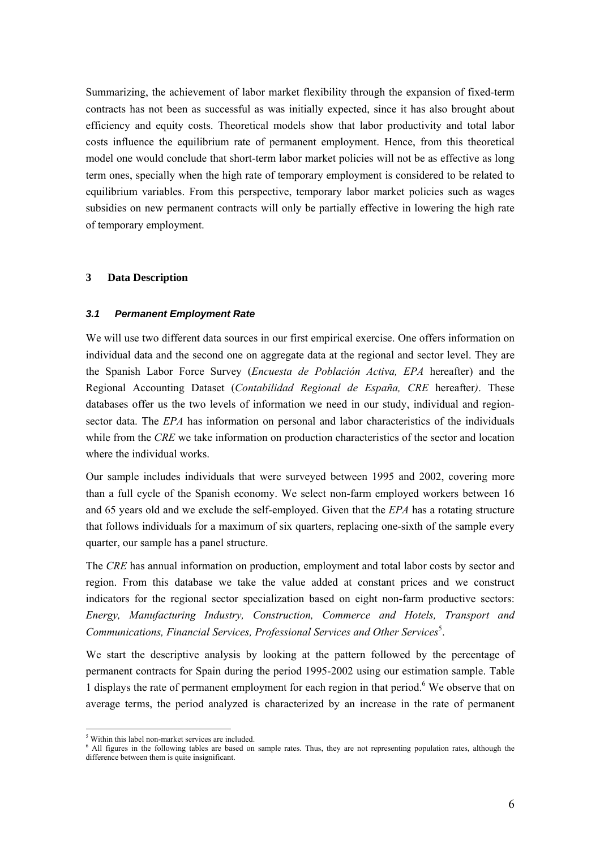Summarizing, the achievement of labor market flexibility through the expansion of fixed-term contracts has not been as successful as was initially expected, since it has also brought about efficiency and equity costs. Theoretical models show that labor productivity and total labor costs influence the equilibrium rate of permanent employment. Hence, from this theoretical model one would conclude that short-term labor market policies will not be as effective as long term ones, specially when the high rate of temporary employment is considered to be related to equilibrium variables. From this perspective, temporary labor market policies such as wages subsidies on new permanent contracts will only be partially effective in lowering the high rate of temporary employment.

### **3 Data Description**

## *3.1 Permanent Employment Rate*

We will use two different data sources in our first empirical exercise. One offers information on individual data and the second one on aggregate data at the regional and sector level. They are the Spanish Labor Force Survey (*Encuesta de Población Activa, EPA* hereafter) and the Regional Accounting Dataset (*Contabilidad Regional de España, CRE* hereafter*)*. These databases offer us the two levels of information we need in our study, individual and regionsector data. The *EPA* has information on personal and labor characteristics of the individuals while from the *CRE* we take information on production characteristics of the sector and location where the individual works.

Our sample includes individuals that were surveyed between 1995 and 2002, covering more than a full cycle of the Spanish economy. We select non-farm employed workers between 16 and 65 years old and we exclude the self-employed. Given that the *EPA* has a rotating structure that follows individuals for a maximum of six quarters, replacing one-sixth of the sample every quarter, our sample has a panel structure.

The *CRE* has annual information on production, employment and total labor costs by sector and region. From this database we take the value added at constant prices and we construct indicators for the regional sector specialization based on eight non-farm productive sectors: *Energy, Manufacturing Industry, Construction, Commerce and Hotels, Transport and*  Communications, Financial Services, Professional Services and Other Services<sup>5</sup>.

We start the descriptive analysis by looking at the pattern followed by the percentage of permanent contracts for Spain during the period 1995-2002 using our estimation sample. Table 1 displays the rate of permanent employment for each region in that period.<sup>6</sup> We observe that on average terms, the period analyzed is characterized by an increase in the rate of permanent

 $5$  Within this label non-market services are included

<sup>&</sup>lt;sup>5</sup> Within this label non-market services are included.<br><sup>6</sup> All figures in the following tables are based on sample rates. Thus, they are not representing population rates, although the difference between them is quite insignificant.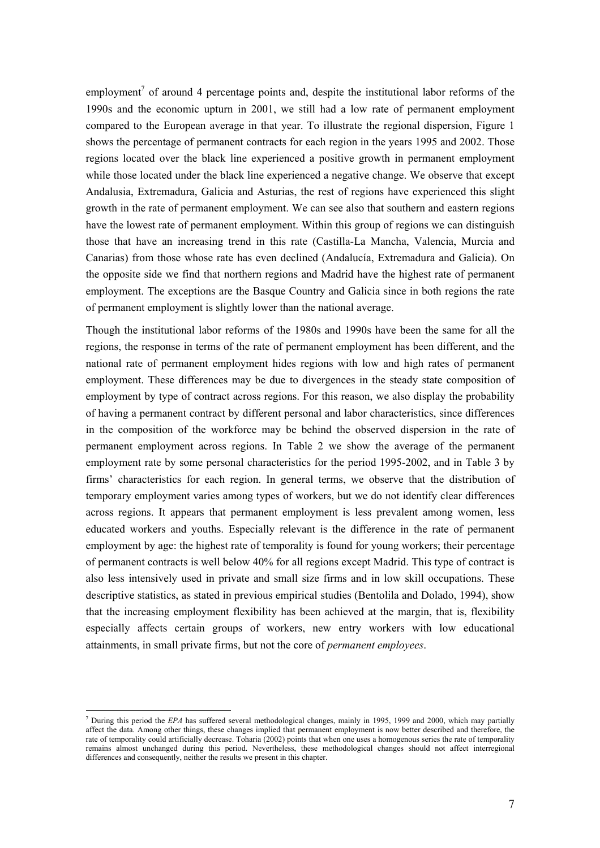employment<sup>7</sup> of around 4 percentage points and, despite the institutional labor reforms of the 1990s and the economic upturn in 2001, we still had a low rate of permanent employment compared to the European average in that year. To illustrate the regional dispersion, Figure 1 shows the percentage of permanent contracts for each region in the years 1995 and 2002. Those regions located over the black line experienced a positive growth in permanent employment while those located under the black line experienced a negative change. We observe that except Andalusia, Extremadura, Galicia and Asturias, the rest of regions have experienced this slight growth in the rate of permanent employment. We can see also that southern and eastern regions have the lowest rate of permanent employment. Within this group of regions we can distinguish those that have an increasing trend in this rate (Castilla-La Mancha, Valencia, Murcia and Canarias) from those whose rate has even declined (Andalucía, Extremadura and Galicia). On the opposite side we find that northern regions and Madrid have the highest rate of permanent employment. The exceptions are the Basque Country and Galicia since in both regions the rate of permanent employment is slightly lower than the national average.

Though the institutional labor reforms of the 1980s and 1990s have been the same for all the regions, the response in terms of the rate of permanent employment has been different, and the national rate of permanent employment hides regions with low and high rates of permanent employment. These differences may be due to divergences in the steady state composition of employment by type of contract across regions. For this reason, we also display the probability of having a permanent contract by different personal and labor characteristics, since differences in the composition of the workforce may be behind the observed dispersion in the rate of permanent employment across regions. In Table 2 we show the average of the permanent employment rate by some personal characteristics for the period 1995-2002, and in Table 3 by firms' characteristics for each region. In general terms, we observe that the distribution of temporary employment varies among types of workers, but we do not identify clear differences across regions. It appears that permanent employment is less prevalent among women, less educated workers and youths. Especially relevant is the difference in the rate of permanent employment by age: the highest rate of temporality is found for young workers; their percentage of permanent contracts is well below 40% for all regions except Madrid. This type of contract is also less intensively used in private and small size firms and in low skill occupations. These descriptive statistics, as stated in previous empirical studies (Bentolila and Dolado, 1994), show that the increasing employment flexibility has been achieved at the margin, that is, flexibility especially affects certain groups of workers, new entry workers with low educational attainments, in small private firms, but not the core of *permanent employees*.

<sup>7</sup> During this period the *EPA* has suffered several methodological changes, mainly in 1995, 1999 and 2000, which may partially affect the data. Among other things, these changes implied that permanent employment is now better described and therefore, the rate of temporality could artificially decrease. Toharia (2002) points that when one uses a homogenous series the rate of temporality remains almost unchanged during this period. Nevertheless, these methodological changes should not affect interregional differences and consequently, neither the results we present in this chapter.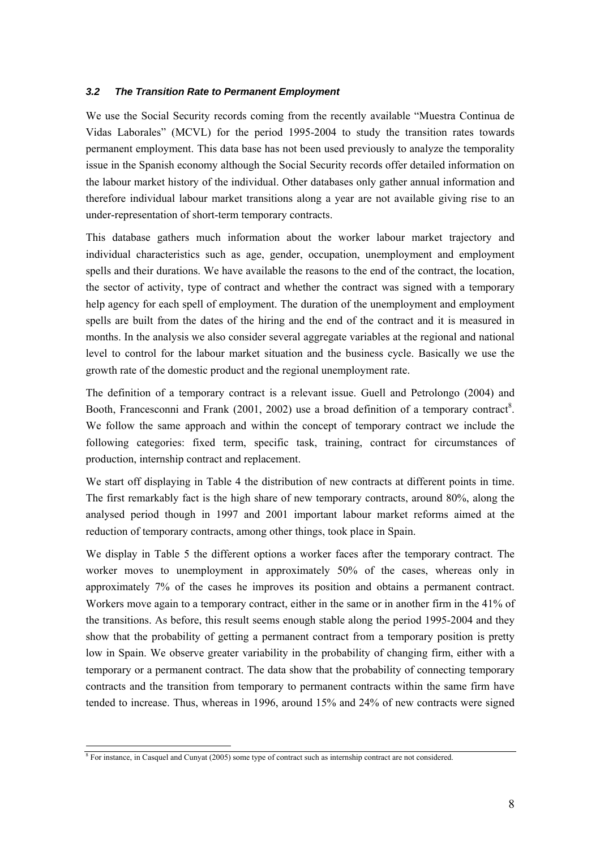### *3.2 The Transition Rate to Permanent Employment*

We use the Social Security records coming from the recently available "Muestra Continua de Vidas Laborales" (MCVL) for the period 1995-2004 to study the transition rates towards permanent employment. This data base has not been used previously to analyze the temporality issue in the Spanish economy although the Social Security records offer detailed information on the labour market history of the individual. Other databases only gather annual information and therefore individual labour market transitions along a year are not available giving rise to an under-representation of short-term temporary contracts.

This database gathers much information about the worker labour market trajectory and individual characteristics such as age, gender, occupation, unemployment and employment spells and their durations. We have available the reasons to the end of the contract, the location, the sector of activity, type of contract and whether the contract was signed with a temporary help agency for each spell of employment. The duration of the unemployment and employment spells are built from the dates of the hiring and the end of the contract and it is measured in months. In the analysis we also consider several aggregate variables at the regional and national level to control for the labour market situation and the business cycle. Basically we use the growth rate of the domestic product and the regional unemployment rate.

The definition of a temporary contract is a relevant issue. Guell and Petrolongo (2004) and Booth, Francesconni and Frank  $(2001, 2002)$  use a broad definition of a temporary contract<sup>8</sup>. We follow the same approach and within the concept of temporary contract we include the following categories: fixed term, specific task, training, contract for circumstances of production, internship contract and replacement.

We start off displaying in Table 4 the distribution of new contracts at different points in time. The first remarkably fact is the high share of new temporary contracts, around 80%, along the analysed period though in 1997 and 2001 important labour market reforms aimed at the reduction of temporary contracts, among other things, took place in Spain.

We display in Table 5 the different options a worker faces after the temporary contract. The worker moves to unemployment in approximately 50% of the cases, whereas only in approximately 7% of the cases he improves its position and obtains a permanent contract. Workers move again to a temporary contract, either in the same or in another firm in the 41% of the transitions. As before, this result seems enough stable along the period 1995-2004 and they show that the probability of getting a permanent contract from a temporary position is pretty low in Spain. We observe greater variability in the probability of changing firm, either with a temporary or a permanent contract. The data show that the probability of connecting temporary contracts and the transition from temporary to permanent contracts within the same firm have tended to increase. Thus, whereas in 1996, around 15% and 24% of new contracts were signed

<sup>&</sup>lt;sup>8</sup> For instance, in Casquel and Cunyat (2005) some type of contract such as internship contract are not considered.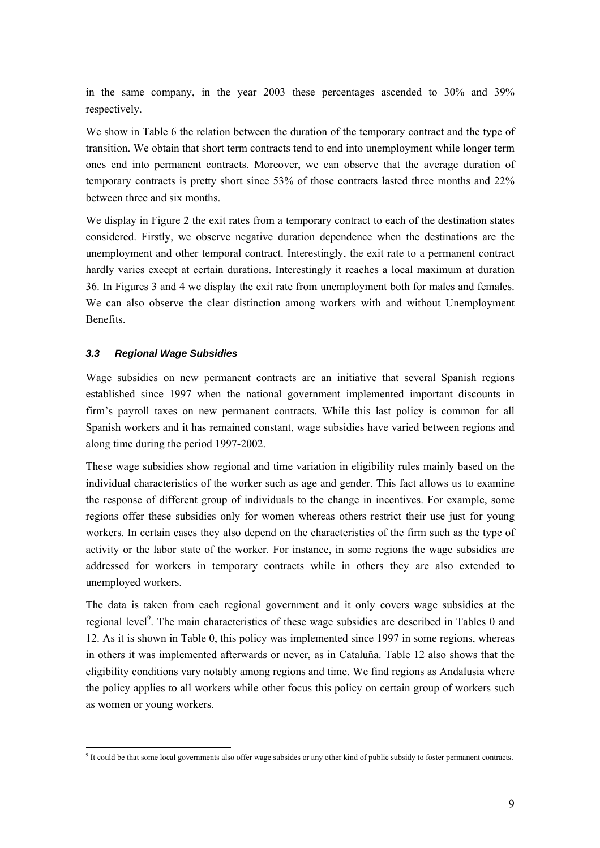in the same company, in the year 2003 these percentages ascended to 30% and 39% respectively.

We show in Table 6 the relation between the duration of the temporary contract and the type of transition. We obtain that short term contracts tend to end into unemployment while longer term ones end into permanent contracts. Moreover, we can observe that the average duration of temporary contracts is pretty short since 53% of those contracts lasted three months and 22% between three and six months.

We display in Figure 2 the exit rates from a temporary contract to each of the destination states considered. Firstly, we observe negative duration dependence when the destinations are the unemployment and other temporal contract. Interestingly, the exit rate to a permanent contract hardly varies except at certain durations. Interestingly it reaches a local maximum at duration 36. In Figures 3 and 4 we display the exit rate from unemployment both for males and females. We can also observe the clear distinction among workers with and without Unemployment Benefits.

# *3.3 Regional Wage Subsidies*

Wage subsidies on new permanent contracts are an initiative that several Spanish regions established since 1997 when the national government implemented important discounts in firm's payroll taxes on new permanent contracts. While this last policy is common for all Spanish workers and it has remained constant, wage subsidies have varied between regions and along time during the period 1997-2002.

These wage subsidies show regional and time variation in eligibility rules mainly based on the individual characteristics of the worker such as age and gender. This fact allows us to examine the response of different group of individuals to the change in incentives. For example, some regions offer these subsidies only for women whereas others restrict their use just for young workers. In certain cases they also depend on the characteristics of the firm such as the type of activity or the labor state of the worker. For instance, in some regions the wage subsidies are addressed for workers in temporary contracts while in others they are also extended to unemployed workers.

The data is taken from each regional government and it only covers wage subsidies at the regional level<sup>9</sup>. The main characteristics of these wage subsidies are described in Tables 0 and 12. As it is shown in Table 0, this policy was implemented since 1997 in some regions, whereas in others it was implemented afterwards or never, as in Cataluña. Table 12 also shows that the eligibility conditions vary notably among regions and time. We find regions as Andalusia where the policy applies to all workers while other focus this policy on certain group of workers such as women or young workers.

 $\overline{a}$ <sup>9</sup> It could be that some local governments also offer wage subsides or any other kind of public subsidy to foster permanent contracts.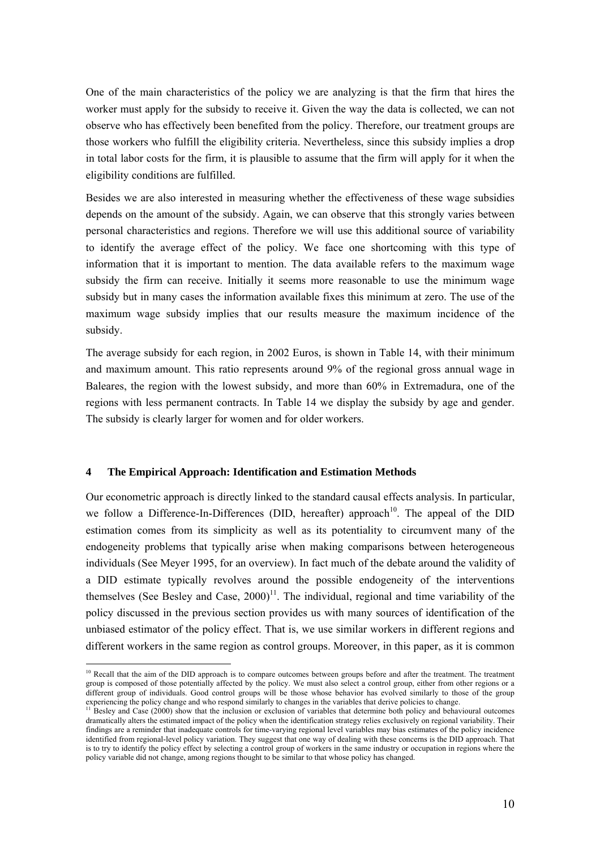One of the main characteristics of the policy we are analyzing is that the firm that hires the worker must apply for the subsidy to receive it. Given the way the data is collected, we can not observe who has effectively been benefited from the policy. Therefore, our treatment groups are those workers who fulfill the eligibility criteria. Nevertheless, since this subsidy implies a drop in total labor costs for the firm, it is plausible to assume that the firm will apply for it when the eligibility conditions are fulfilled.

Besides we are also interested in measuring whether the effectiveness of these wage subsidies depends on the amount of the subsidy. Again, we can observe that this strongly varies between personal characteristics and regions. Therefore we will use this additional source of variability to identify the average effect of the policy. We face one shortcoming with this type of information that it is important to mention. The data available refers to the maximum wage subsidy the firm can receive. Initially it seems more reasonable to use the minimum wage subsidy but in many cases the information available fixes this minimum at zero. The use of the maximum wage subsidy implies that our results measure the maximum incidence of the subsidy.

The average subsidy for each region, in 2002 Euros, is shown in Table 14, with their minimum and maximum amount. This ratio represents around 9% of the regional gross annual wage in Baleares, the region with the lowest subsidy, and more than 60% in Extremadura, one of the regions with less permanent contracts. In Table 14 we display the subsidy by age and gender. The subsidy is clearly larger for women and for older workers.

## **4 The Empirical Approach: Identification and Estimation Methods**

Our econometric approach is directly linked to the standard causal effects analysis. In particular, we follow a Difference-In-Differences (DID, hereafter) approach<sup>10</sup>. The appeal of the DID estimation comes from its simplicity as well as its potentiality to circumvent many of the endogeneity problems that typically arise when making comparisons between heterogeneous individuals (See Meyer 1995, for an overview). In fact much of the debate around the validity of a DID estimate typically revolves around the possible endogeneity of the interventions themselves (See Besley and Case,  $2000$ <sup>11</sup>. The individual, regional and time variability of the policy discussed in the previous section provides us with many sources of identification of the unbiased estimator of the policy effect. That is, we use similar workers in different regions and different workers in the same region as control groups. Moreover, in this paper, as it is common

 $\overline{a}$ <sup>10</sup> Recall that the aim of the DID approach is to compare outcomes between groups before and after the treatment. The treatment group is composed of those potentially affected by the policy. We must also select a control group, either from other regions or a different group of individuals. Good control groups will be those whose behavior has evolved similarly to those of the group experiencing the policy change and who respond similarly to changes in the variables that derive

<sup>&</sup>lt;sup>11</sup> Besley and Case (2000) show that the inclusion or exclusion of variables that determine both policy and behavioural outcomes dramatically alters the estimated impact of the policy when the identification strategy relies exclusively on regional variability. Their findings are a reminder that inadequate controls for time-varying regional level variables may bias estimates of the policy incidence identified from regional-level policy variation. They suggest that one way of dealing with these concerns is the DID approach. That is to try to identify the policy effect by selecting a control group of workers in the same industry or occupation in regions where the policy variable did not change, among regions thought to be similar to that whose policy has changed.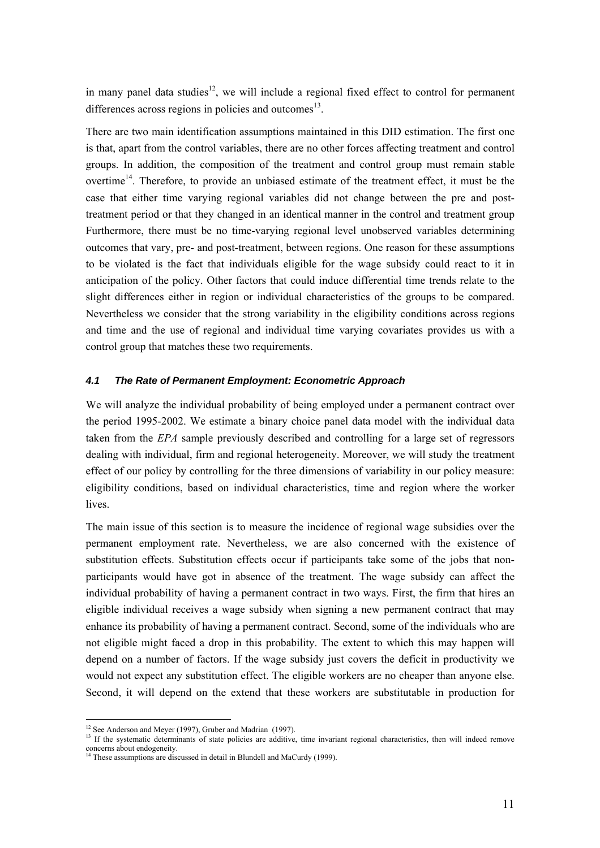in many panel data studies<sup>12</sup>, we will include a regional fixed effect to control for permanent differences across regions in policies and outcomes $^{13}$ .

There are two main identification assumptions maintained in this DID estimation. The first one is that, apart from the control variables, there are no other forces affecting treatment and control groups. In addition, the composition of the treatment and control group must remain stable overtime<sup>14</sup>. Therefore, to provide an unbiased estimate of the treatment effect, it must be the case that either time varying regional variables did not change between the pre and posttreatment period or that they changed in an identical manner in the control and treatment group Furthermore, there must be no time-varying regional level unobserved variables determining outcomes that vary, pre- and post-treatment, between regions. One reason for these assumptions to be violated is the fact that individuals eligible for the wage subsidy could react to it in anticipation of the policy. Other factors that could induce differential time trends relate to the slight differences either in region or individual characteristics of the groups to be compared. Nevertheless we consider that the strong variability in the eligibility conditions across regions and time and the use of regional and individual time varying covariates provides us with a control group that matches these two requirements.

### *4.1 The Rate of Permanent Employment: Econometric Approach*

We will analyze the individual probability of being employed under a permanent contract over the period 1995-2002. We estimate a binary choice panel data model with the individual data taken from the *EPA* sample previously described and controlling for a large set of regressors dealing with individual, firm and regional heterogeneity. Moreover, we will study the treatment effect of our policy by controlling for the three dimensions of variability in our policy measure: eligibility conditions, based on individual characteristics, time and region where the worker lives.

The main issue of this section is to measure the incidence of regional wage subsidies over the permanent employment rate. Nevertheless, we are also concerned with the existence of substitution effects. Substitution effects occur if participants take some of the jobs that nonparticipants would have got in absence of the treatment. The wage subsidy can affect the individual probability of having a permanent contract in two ways. First, the firm that hires an eligible individual receives a wage subsidy when signing a new permanent contract that may enhance its probability of having a permanent contract. Second, some of the individuals who are not eligible might faced a drop in this probability. The extent to which this may happen will depend on a number of factors. If the wage subsidy just covers the deficit in productivity we would not expect any substitution effect. The eligible workers are no cheaper than anyone else. Second, it will depend on the extend that these workers are substitutable in production for

 $12$  See Anderson and Meyer (1997), Gruber and Madrian (1997).

 $13$  If the systematic determinants of state policies are additive, time invariant regional characteristics, then will indeed remove concerns about endogeneity.

 $14$  These assumptions are discussed in detail in Blundell and MaCurdy (1999).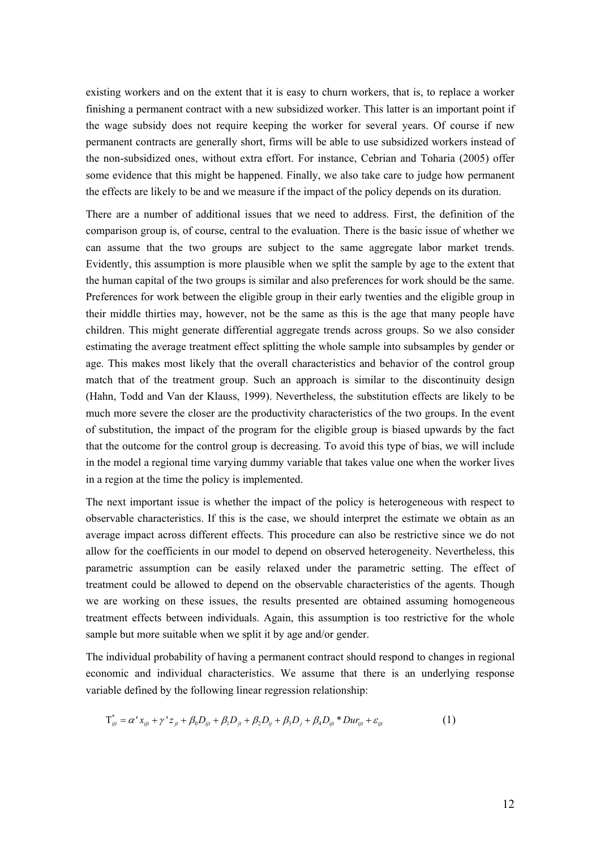existing workers and on the extent that it is easy to churn workers, that is, to replace a worker finishing a permanent contract with a new subsidized worker. This latter is an important point if the wage subsidy does not require keeping the worker for several years. Of course if new permanent contracts are generally short, firms will be able to use subsidized workers instead of the non-subsidized ones, without extra effort. For instance, Cebrian and Toharia (2005) offer some evidence that this might be happened. Finally, we also take care to judge how permanent the effects are likely to be and we measure if the impact of the policy depends on its duration.

There are a number of additional issues that we need to address. First, the definition of the comparison group is, of course, central to the evaluation. There is the basic issue of whether we can assume that the two groups are subject to the same aggregate labor market trends. Evidently, this assumption is more plausible when we split the sample by age to the extent that the human capital of the two groups is similar and also preferences for work should be the same. Preferences for work between the eligible group in their early twenties and the eligible group in their middle thirties may, however, not be the same as this is the age that many people have children. This might generate differential aggregate trends across groups. So we also consider estimating the average treatment effect splitting the whole sample into subsamples by gender or age. This makes most likely that the overall characteristics and behavior of the control group match that of the treatment group. Such an approach is similar to the discontinuity design (Hahn, Todd and Van der Klauss, 1999). Nevertheless, the substitution effects are likely to be much more severe the closer are the productivity characteristics of the two groups. In the event of substitution, the impact of the program for the eligible group is biased upwards by the fact that the outcome for the control group is decreasing. To avoid this type of bias, we will include in the model a regional time varying dummy variable that takes value one when the worker lives in a region at the time the policy is implemented.

The next important issue is whether the impact of the policy is heterogeneous with respect to observable characteristics. If this is the case, we should interpret the estimate we obtain as an average impact across different effects. This procedure can also be restrictive since we do not allow for the coefficients in our model to depend on observed heterogeneity. Nevertheless, this parametric assumption can be easily relaxed under the parametric setting. The effect of treatment could be allowed to depend on the observable characteristics of the agents. Though we are working on these issues, the results presented are obtained assuming homogeneous treatment effects between individuals. Again, this assumption is too restrictive for the whole sample but more suitable when we split it by age and/or gender.

The individual probability of having a permanent contract should respond to changes in regional economic and individual characteristics. We assume that there is an underlying response variable defined by the following linear regression relationship:

$$
T_{ijt}^* = \alpha^* x_{ijt} + \gamma^* z_{jt} + \beta_0 D_{ijt} + \beta_1 D_{jt} + \beta_2 D_{ij} + \beta_3 D_j + \beta_4 D_{ijt}^* D u r_{ijt} + \varepsilon_{ijt}
$$
 (1)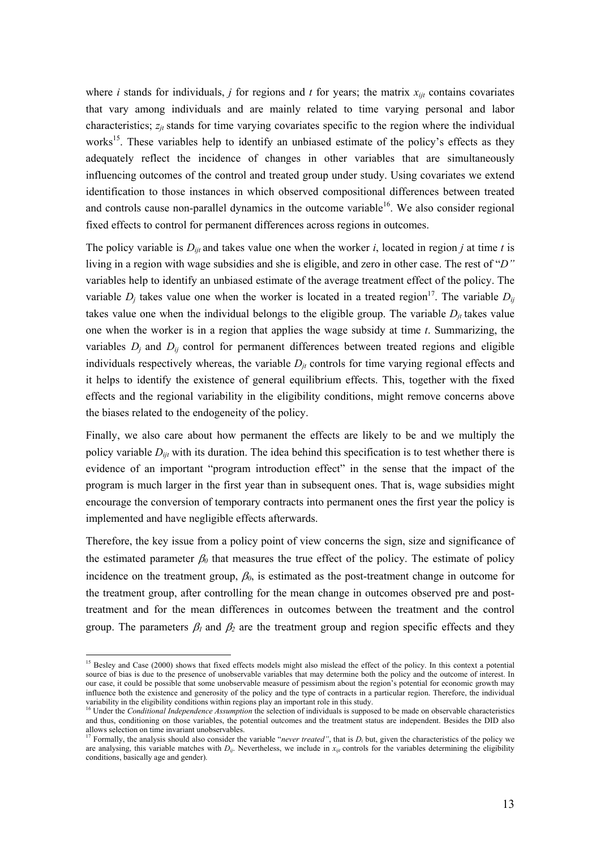where *i* stands for individuals, *j* for regions and *t* for years; the matrix  $x_{ijt}$  contains covariates that vary among individuals and are mainly related to time varying personal and labor characteristics;  $z_{it}$  stands for time varying covariates specific to the region where the individual works<sup>15</sup>. These variables help to identify an unbiased estimate of the policy's effects as they adequately reflect the incidence of changes in other variables that are simultaneously influencing outcomes of the control and treated group under study. Using covariates we extend identification to those instances in which observed compositional differences between treated and controls cause non-parallel dynamics in the outcome variable<sup>16</sup>. We also consider regional fixed effects to control for permanent differences across regions in outcomes.

The policy variable is  $D_{ii}$  and takes value one when the worker *i*, located in region *j* at time *t* is living in a region with wage subsidies and she is eligible, and zero in other case. The rest of "*D"*  variables help to identify an unbiased estimate of the average treatment effect of the policy. The variable  $D_j$  takes value one when the worker is located in a treated region<sup>17</sup>. The variable  $D_{ij}$ takes value one when the individual belongs to the eligible group. The variable  $D_{it}$  takes value one when the worker is in a region that applies the wage subsidy at time *t*. Summarizing, the variables  $D_i$  and  $D_{ij}$  control for permanent differences between treated regions and eligible individuals respectively whereas, the variable  $D_{it}$  controls for time varying regional effects and it helps to identify the existence of general equilibrium effects. This, together with the fixed effects and the regional variability in the eligibility conditions, might remove concerns above the biases related to the endogeneity of the policy.

Finally, we also care about how permanent the effects are likely to be and we multiply the policy variable *Dijt* with its duration. The idea behind this specification is to test whether there is evidence of an important "program introduction effect" in the sense that the impact of the program is much larger in the first year than in subsequent ones. That is, wage subsidies might encourage the conversion of temporary contracts into permanent ones the first year the policy is implemented and have negligible effects afterwards.

Therefore, the key issue from a policy point of view concerns the sign, size and significance of the estimated parameter  $\beta_0$  that measures the true effect of the policy. The estimate of policy incidence on the treatment group,  $\beta_0$ , is estimated as the post-treatment change in outcome for the treatment group, after controlling for the mean change in outcomes observed pre and posttreatment and for the mean differences in outcomes between the treatment and the control group. The parameters  $\beta_1$  and  $\beta_2$  are the treatment group and region specific effects and they

<sup>&</sup>lt;sup>15</sup> Besley and Case (2000) shows that fixed effects models might also mislead the effect of the policy. In this context a potential source of bias is due to the presence of unobservable variables that may determine both the policy and the outcome of interest. In our case, it could be possible that some unobservable measure of pessimism about the region's potential for economic growth may influence both the existence and generosity of the policy and the type of contracts in a particular region. Therefore, the individual variability in the eligibility conditions within regions play an important role in this

<sup>&</sup>lt;sup>16</sup> Under the *Conditional Independence Assumption* the selection of individuals is supposed to be made on observable characteristics and thus, conditioning on those variables, the potential outcomes and the treatment status are independent. Besides the DID also allows selection on time invariant unobservables.

<sup>&</sup>lt;sup>17</sup> Formally, the analysis should also consider the variable "*never treated*", that is  $D_i$  but, given the characteristics of the policy we are analysing, this variable matches with  $D_{ij}$ . Nevertheless, we include in  $x_{ijt}$  controls for the variables determining the eligibility conditions, basically age and gender).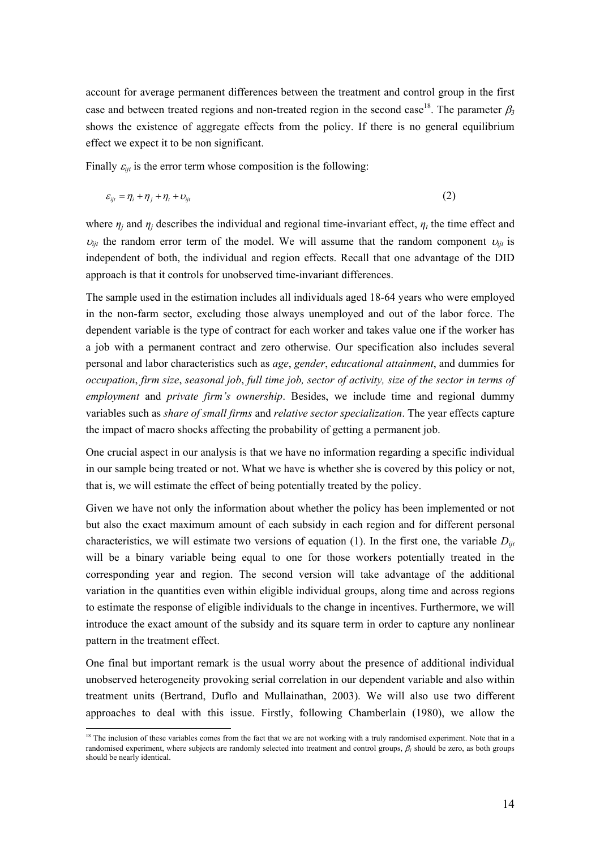account for average permanent differences between the treatment and control group in the first case and between treated regions and non-treated region in the second case<sup>18</sup>. The parameter  $\beta_3$ shows the existence of aggregate effects from the policy. If there is no general equilibrium effect we expect it to be non significant.

Finally  $\varepsilon_{i}$  is the error term whose composition is the following:

$$
\varepsilon_{ijt} = \eta_i + \eta_j + \eta_t + \upsilon_{ijt} \tag{2}
$$

where  $\eta_i$  and  $\eta_j$  describes the individual and regional time-invariant effect,  $\eta_t$  the time effect and  $v_{ijt}$  the random error term of the model. We will assume that the random component  $v_{ijt}$  is independent of both, the individual and region effects. Recall that one advantage of the DID approach is that it controls for unobserved time-invariant differences.

The sample used in the estimation includes all individuals aged 18-64 years who were employed in the non-farm sector, excluding those always unemployed and out of the labor force. The dependent variable is the type of contract for each worker and takes value one if the worker has a job with a permanent contract and zero otherwise. Our specification also includes several personal and labor characteristics such as *age*, *gender*, *educational attainment*, and dummies for *occupation*, *firm size*, *seasonal job*, *full time job, sector of activity, size of the sector in terms of employment* and *private firm's ownership*. Besides, we include time and regional dummy variables such as *share of small firms* and *relative sector specialization*. The year effects capture the impact of macro shocks affecting the probability of getting a permanent job.

One crucial aspect in our analysis is that we have no information regarding a specific individual in our sample being treated or not. What we have is whether she is covered by this policy or not, that is, we will estimate the effect of being potentially treated by the policy.

Given we have not only the information about whether the policy has been implemented or not but also the exact maximum amount of each subsidy in each region and for different personal characteristics, we will estimate two versions of equation (1). In the first one, the variable  $D_{ii}$ will be a binary variable being equal to one for those workers potentially treated in the corresponding year and region. The second version will take advantage of the additional variation in the quantities even within eligible individual groups, along time and across regions to estimate the response of eligible individuals to the change in incentives. Furthermore, we will introduce the exact amount of the subsidy and its square term in order to capture any nonlinear pattern in the treatment effect.

One final but important remark is the usual worry about the presence of additional individual unobserved heterogeneity provoking serial correlation in our dependent variable and also within treatment units (Bertrand, Duflo and Mullainathan, 2003). We will also use two different approaches to deal with this issue. Firstly, following Chamberlain (1980), we allow the

<sup>&</sup>lt;sup>18</sup> The inclusion of these variables comes from the fact that we are not working with a truly randomised experiment. Note that in a randomised experiment, where subjects are randomly selected into treatment and control groups, β*1* should be zero, as both groups should be nearly identical.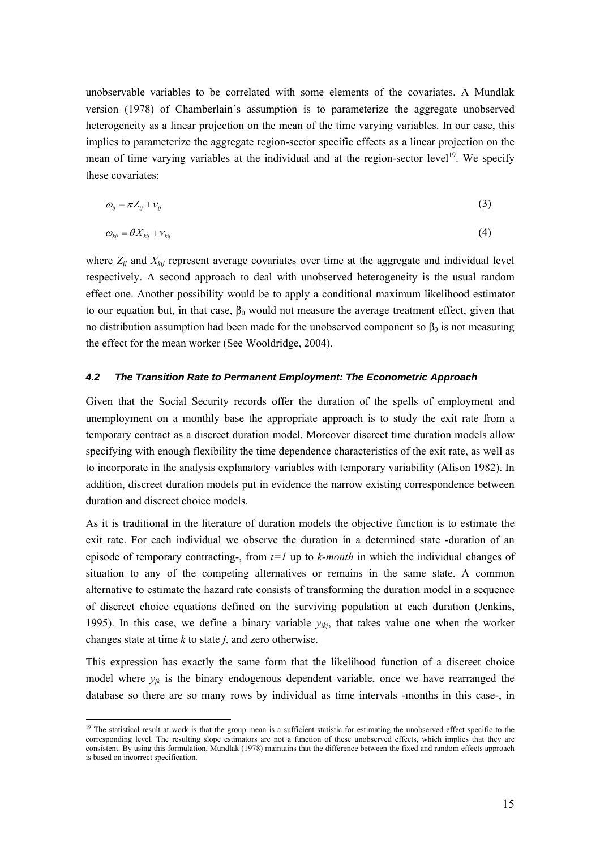unobservable variables to be correlated with some elements of the covariates. A Mundlak version (1978) of Chamberlain´s assumption is to parameterize the aggregate unobserved heterogeneity as a linear projection on the mean of the time varying variables. In our case, this implies to parameterize the aggregate region-sector specific effects as a linear projection on the mean of time varying variables at the individual and at the region-sector level<sup>19</sup>. We specify these covariates:

$$
\omega_{ij} = \pi Z_{ij} + \nu_{ij} \tag{3}
$$

$$
\omega_{\scriptscriptstyle{kij}} = \theta X_{\scriptscriptstyle{kij}} + \nu_{\scriptscriptstyle{kij}} \tag{4}
$$

where  $Z_{ij}$  and  $X_{kij}$  represent average covariates over time at the aggregate and individual level respectively. A second approach to deal with unobserved heterogeneity is the usual random effect one. Another possibility would be to apply a conditional maximum likelihood estimator to our equation but, in that case,  $\beta_0$  would not measure the average treatment effect, given that no distribution assumption had been made for the unobserved component so  $β_0$  is not measuring the effect for the mean worker (See Wooldridge, 2004).

#### *4.2 The Transition Rate to Permanent Employment: The Econometric Approach*

Given that the Social Security records offer the duration of the spells of employment and unemployment on a monthly base the appropriate approach is to study the exit rate from a temporary contract as a discreet duration model. Moreover discreet time duration models allow specifying with enough flexibility the time dependence characteristics of the exit rate, as well as to incorporate in the analysis explanatory variables with temporary variability (Alison 1982). In addition, discreet duration models put in evidence the narrow existing correspondence between duration and discreet choice models.

As it is traditional in the literature of duration models the objective function is to estimate the exit rate. For each individual we observe the duration in a determined state -duration of an episode of temporary contracting-, from *t=1* up to *k-month* in which the individual changes of situation to any of the competing alternatives or remains in the same state. A common alternative to estimate the hazard rate consists of transforming the duration model in a sequence of discreet choice equations defined on the surviving population at each duration (Jenkins, 1995). In this case, we define a binary variable  $y_{ikj}$ , that takes value one when the worker changes state at time *k* to state *j*, and zero otherwise.

This expression has exactly the same form that the likelihood function of a discreet choice model where  $y_{jk}$  is the binary endogenous dependent variable, once we have rearranged the database so there are so many rows by individual as time intervals -months in this case-, in

<sup>&</sup>lt;sup>19</sup> The statistical result at work is that the group mean is a sufficient statistic for estimating the unobserved effect specific to the corresponding level. The resulting slope estimators are not a function of these unobserved effects, which implies that they are consistent. By using this formulation, Mundlak (1978) maintains that the difference between the fixed and random effects approach is based on incorrect specification.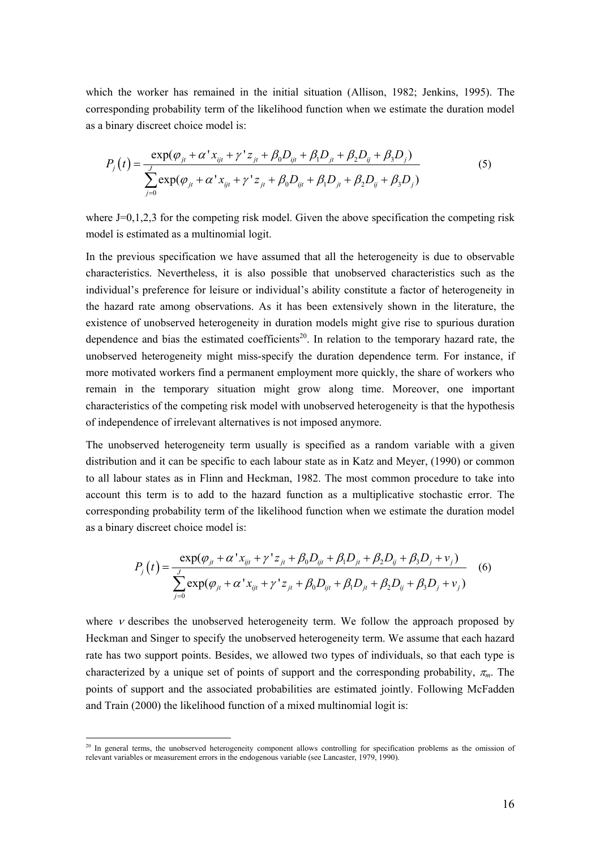which the worker has remained in the initial situation (Allison, 1982; Jenkins, 1995). The corresponding probability term of the likelihood function when we estimate the duration model as a binary discreet choice model is:

$$
P_{j}(t) = \frac{\exp(\varphi_{ji} + \alpha' x_{ij} + \gamma' z_{ji} + \beta_{0} D_{ij} + \beta_{1} D_{ji} + \beta_{2} D_{ij} + \beta_{3} D_{j})}{\sum_{j=0}^{J} \exp(\varphi_{ji} + \alpha' x_{ij} + \gamma' z_{ji} + \beta_{0} D_{ij} + \beta_{1} D_{ji} + \beta_{2} D_{ij} + \beta_{3} D_{j})}
$$
(5)

where  $J=0,1,2,3$  for the competing risk model. Given the above specification the competing risk model is estimated as a multinomial logit.

In the previous specification we have assumed that all the heterogeneity is due to observable characteristics. Nevertheless, it is also possible that unobserved characteristics such as the individual's preference for leisure or individual's ability constitute a factor of heterogeneity in the hazard rate among observations. As it has been extensively shown in the literature, the existence of unobserved heterogeneity in duration models might give rise to spurious duration dependence and bias the estimated coefficients<sup>20</sup>. In relation to the temporary hazard rate, the unobserved heterogeneity might miss-specify the duration dependence term. For instance, if more motivated workers find a permanent employment more quickly, the share of workers who remain in the temporary situation might grow along time. Moreover, one important characteristics of the competing risk model with unobserved heterogeneity is that the hypothesis of independence of irrelevant alternatives is not imposed anymore.

The unobserved heterogeneity term usually is specified as a random variable with a given distribution and it can be specific to each labour state as in Katz and Meyer, (1990) or common to all labour states as in Flinn and Heckman, 1982. The most common procedure to take into account this term is to add to the hazard function as a multiplicative stochastic error. The corresponding probability term of the likelihood function when we estimate the duration model as a binary discreet choice model is:

$$
P_{j}(t) = \frac{\exp(\varphi_{jt} + \alpha' x_{ijt} + \gamma' z_{jt} + \beta_0 D_{ijt} + \beta_1 D_{jt} + \beta_2 D_{ij} + \beta_3 D_j + v_j)}{\sum_{j=0}^{J} \exp(\varphi_{jt} + \alpha' x_{ijt} + \gamma' z_{jt} + \beta_0 D_{ijt} + \beta_1 D_{jt} + \beta_2 D_{ij} + \beta_3 D_j + v_j)}
$$
(6)

where  $\nu$  describes the unobserved heterogeneity term. We follow the approach proposed by Heckman and Singer to specify the unobserved heterogeneity term. We assume that each hazard rate has two support points. Besides, we allowed two types of individuals, so that each type is characterized by a unique set of points of support and the corresponding probability,  $\pi_m$ . The points of support and the associated probabilities are estimated jointly. Following McFadden and Train (2000) the likelihood function of a mixed multinomial logit is:

<sup>&</sup>lt;sup>20</sup> In general terms, the unobserved heterogeneity component allows controlling for specification problems as the omission of relevant variables or measurement errors in the endogenous variable (see Lancaster, 1979, 1990).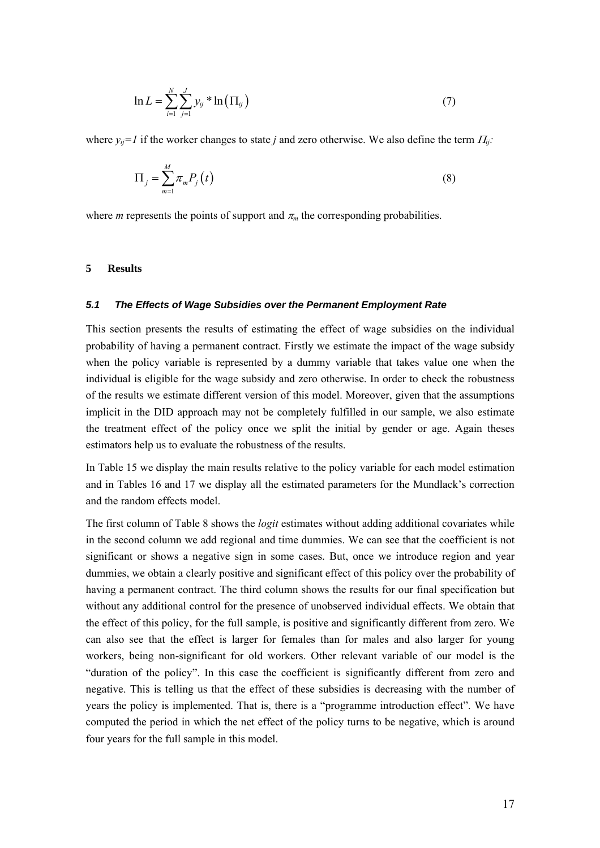$$
\ln L = \sum_{i=1}^{N} \sum_{j=1}^{J} y_{ij} * \ln(\Pi_{ij})
$$
\n(7)

where  $y_{ii}=1$  if the worker changes to state *j* and zero otherwise. We also define the term  $\Pi_{ii}$ :

$$
\Pi_j = \sum_{m=1}^{M} \pi_m P_j(t) \tag{8}
$$

where *m* represents the points of support and  $\pi_m$  the corresponding probabilities.

### **5 Results**

### *5.1 The Effects of Wage Subsidies over the Permanent Employment Rate*

This section presents the results of estimating the effect of wage subsidies on the individual probability of having a permanent contract. Firstly we estimate the impact of the wage subsidy when the policy variable is represented by a dummy variable that takes value one when the individual is eligible for the wage subsidy and zero otherwise. In order to check the robustness of the results we estimate different version of this model. Moreover, given that the assumptions implicit in the DID approach may not be completely fulfilled in our sample, we also estimate the treatment effect of the policy once we split the initial by gender or age. Again theses estimators help us to evaluate the robustness of the results.

In Table 15 we display the main results relative to the policy variable for each model estimation and in Tables 16 and 17 we display all the estimated parameters for the Mundlack's correction and the random effects model.

The first column of Table 8 shows the *logit* estimates without adding additional covariates while in the second column we add regional and time dummies. We can see that the coefficient is not significant or shows a negative sign in some cases. But, once we introduce region and year dummies, we obtain a clearly positive and significant effect of this policy over the probability of having a permanent contract. The third column shows the results for our final specification but without any additional control for the presence of unobserved individual effects. We obtain that the effect of this policy, for the full sample, is positive and significantly different from zero. We can also see that the effect is larger for females than for males and also larger for young workers, being non-significant for old workers. Other relevant variable of our model is the "duration of the policy". In this case the coefficient is significantly different from zero and negative. This is telling us that the effect of these subsidies is decreasing with the number of years the policy is implemented. That is, there is a "programme introduction effect". We have computed the period in which the net effect of the policy turns to be negative, which is around four years for the full sample in this model.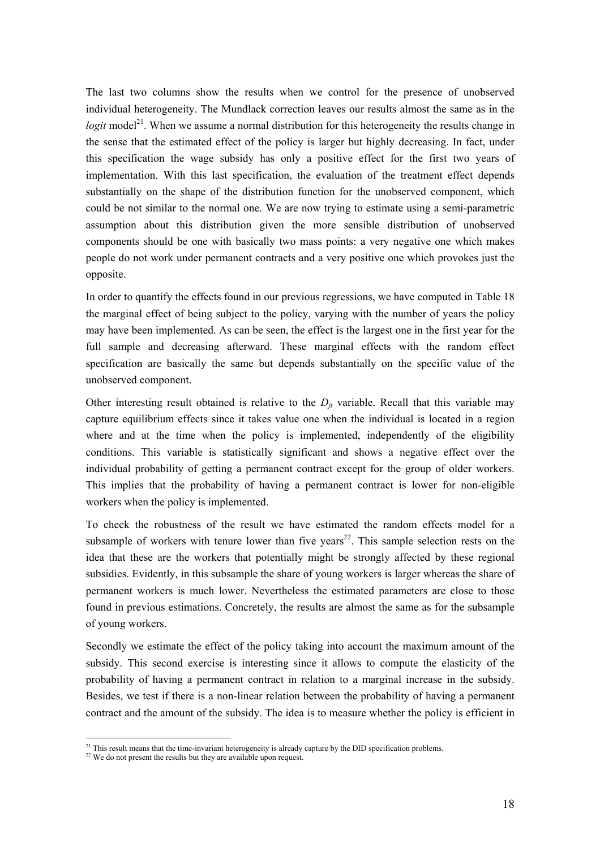The last two columns show the results when we control for the presence of unobserved individual heterogeneity. The Mundlack correction leaves our results almost the same as in the *logit* model<sup>21</sup>. When we assume a normal distribution for this heterogeneity the results change in the sense that the estimated effect of the policy is larger but highly decreasing. In fact, under this specification the wage subsidy has only a positive effect for the first two years of implementation. With this last specification, the evaluation of the treatment effect depends substantially on the shape of the distribution function for the unobserved component, which could be not similar to the normal one. We are now trying to estimate using a semi-parametric assumption about this distribution given the more sensible distribution of unobserved components should be one with basically two mass points: a very negative one which makes people do not work under permanent contracts and a very positive one which provokes just the opposite.

In order to quantify the effects found in our previous regressions, we have computed in Table 18 the marginal effect of being subject to the policy, varying with the number of years the policy may have been implemented. As can be seen, the effect is the largest one in the first year for the full sample and decreasing afterward. These marginal effects with the random effect specification are basically the same but depends substantially on the specific value of the unobserved component.

Other interesting result obtained is relative to the  $D_{it}$  variable. Recall that this variable may capture equilibrium effects since it takes value one when the individual is located in a region where and at the time when the policy is implemented, independently of the eligibility conditions. This variable is statistically significant and shows a negative effect over the individual probability of getting a permanent contract except for the group of older workers. This implies that the probability of having a permanent contract is lower for non-eligible workers when the policy is implemented.

To check the robustness of the result we have estimated the random effects model for a subsample of workers with tenure lower than five years<sup>22</sup>. This sample selection rests on the idea that these are the workers that potentially might be strongly affected by these regional subsidies. Evidently, in this subsample the share of young workers is larger whereas the share of permanent workers is much lower. Nevertheless the estimated parameters are close to those found in previous estimations. Concretely, the results are almost the same as for the subsample of young workers.

Secondly we estimate the effect of the policy taking into account the maximum amount of the subsidy. This second exercise is interesting since it allows to compute the elasticity of the probability of having a permanent contract in relation to a marginal increase in the subsidy. Besides, we test if there is a non-linear relation between the probability of having a permanent contract and the amount of the subsidy. The idea is to measure whether the policy is efficient in

<sup>&</sup>lt;sup>21</sup> This result means that the time-invariant heterogeneity is already capture by the DID specification problems. <sup>22</sup> We do not present the results but they are available upon request.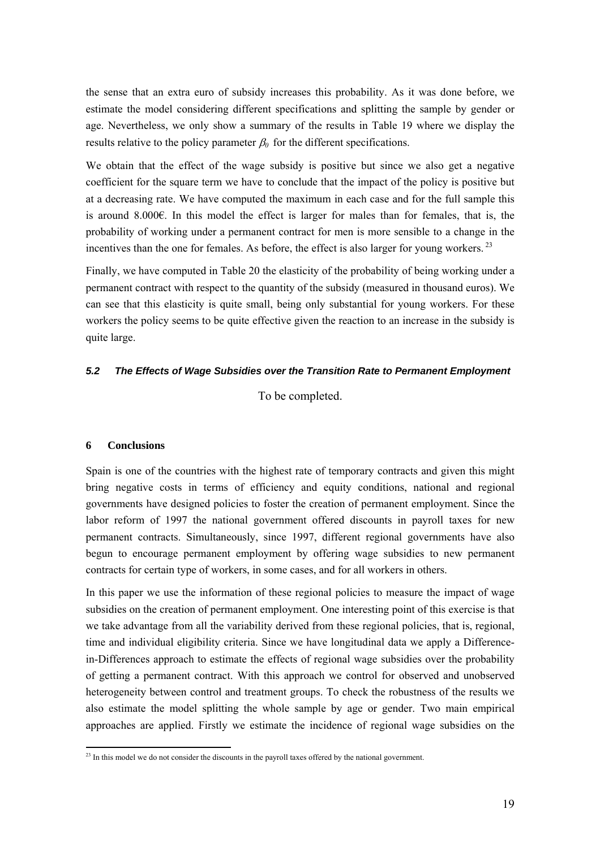the sense that an extra euro of subsidy increases this probability. As it was done before, we estimate the model considering different specifications and splitting the sample by gender or age. Nevertheless, we only show a summary of the results in Table 19 where we display the results relative to the policy parameter  $\beta_0$  for the different specifications.

We obtain that the effect of the wage subsidy is positive but since we also get a negative coefficient for the square term we have to conclude that the impact of the policy is positive but at a decreasing rate. We have computed the maximum in each case and for the full sample this is around 8.000€. In this model the effect is larger for males than for females, that is, the probability of working under a permanent contract for men is more sensible to a change in the incentives than the one for females. As before, the effect is also larger for young workers.<sup>23</sup>

Finally, we have computed in Table 20 the elasticity of the probability of being working under a permanent contract with respect to the quantity of the subsidy (measured in thousand euros). We can see that this elasticity is quite small, being only substantial for young workers. For these workers the policy seems to be quite effective given the reaction to an increase in the subsidy is quite large.

# *5.2 The Effects of Wage Subsidies over the Transition Rate to Permanent Employment*

To be completed.

## **6 Conclusions**

Spain is one of the countries with the highest rate of temporary contracts and given this might bring negative costs in terms of efficiency and equity conditions, national and regional governments have designed policies to foster the creation of permanent employment. Since the labor reform of 1997 the national government offered discounts in payroll taxes for new permanent contracts. Simultaneously, since 1997, different regional governments have also begun to encourage permanent employment by offering wage subsidies to new permanent contracts for certain type of workers, in some cases, and for all workers in others.

In this paper we use the information of these regional policies to measure the impact of wage subsidies on the creation of permanent employment. One interesting point of this exercise is that we take advantage from all the variability derived from these regional policies, that is, regional, time and individual eligibility criteria. Since we have longitudinal data we apply a Differencein-Differences approach to estimate the effects of regional wage subsidies over the probability of getting a permanent contract. With this approach we control for observed and unobserved heterogeneity between control and treatment groups. To check the robustness of the results we also estimate the model splitting the whole sample by age or gender. Two main empirical approaches are applied. Firstly we estimate the incidence of regional wage subsidies on the

 $\overline{a}$  $^{23}$  In this model we do not consider the discounts in the payroll taxes offered by the national government.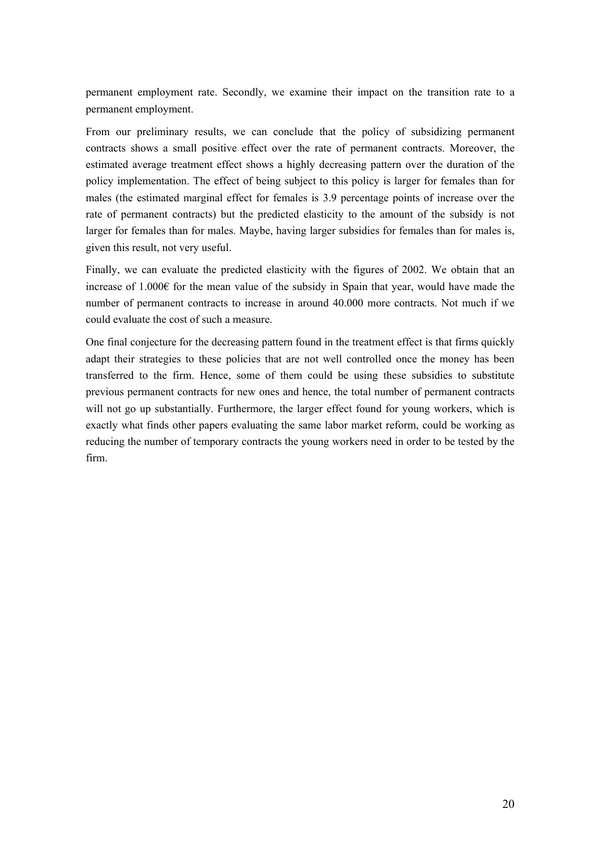permanent employment rate. Secondly, we examine their impact on the transition rate to a permanent employment.

From our preliminary results, we can conclude that the policy of subsidizing permanent contracts shows a small positive effect over the rate of permanent contracts. Moreover, the estimated average treatment effect shows a highly decreasing pattern over the duration of the policy implementation. The effect of being subject to this policy is larger for females than for males (the estimated marginal effect for females is 3.9 percentage points of increase over the rate of permanent contracts) but the predicted elasticity to the amount of the subsidy is not larger for females than for males. Maybe, having larger subsidies for females than for males is, given this result, not very useful.

Finally, we can evaluate the predicted elasticity with the figures of 2002. We obtain that an increase of 1.000€ for the mean value of the subsidy in Spain that year, would have made the number of permanent contracts to increase in around 40.000 more contracts. Not much if we could evaluate the cost of such a measure.

One final conjecture for the decreasing pattern found in the treatment effect is that firms quickly adapt their strategies to these policies that are not well controlled once the money has been transferred to the firm. Hence, some of them could be using these subsidies to substitute previous permanent contracts for new ones and hence, the total number of permanent contracts will not go up substantially. Furthermore, the larger effect found for young workers, which is exactly what finds other papers evaluating the same labor market reform, could be working as reducing the number of temporary contracts the young workers need in order to be tested by the firm.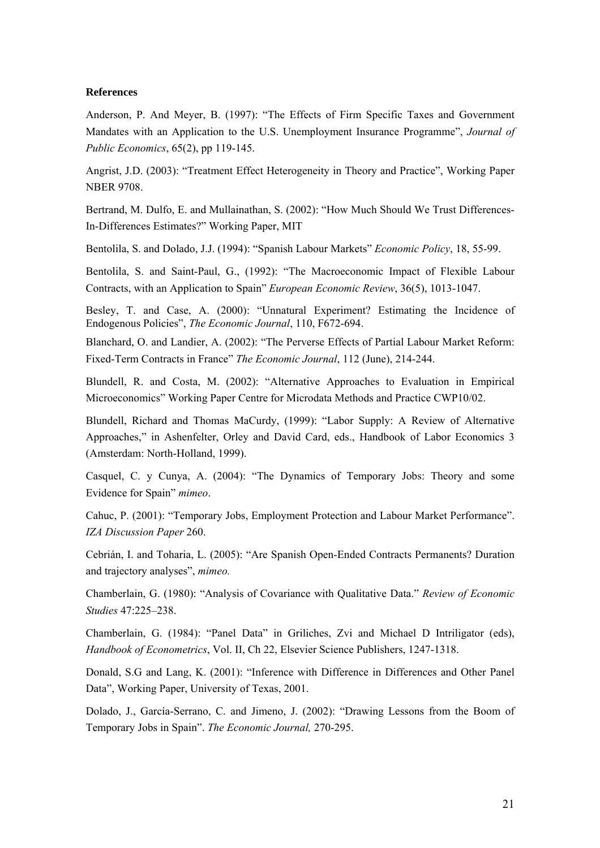### **References**

Anderson, P. And Meyer, B. (1997): "The Effects of Firm Specific Taxes and Government Mandates with an Application to the U.S. Unemployment Insurance Programme", *Journal of Public Economics*, 65(2), pp 119-145.

Angrist, J.D. (2003): "Treatment Effect Heterogeneity in Theory and Practice", Working Paper NBER 9708.

Bertrand, M. Dulfo, E. and Mullainathan, S. (2002): "How Much Should We Trust Differences-In-Differences Estimates?" Working Paper, MIT

Bentolila, S. and Dolado, J.J. (1994): "Spanish Labour Markets" *Economic Policy*, 18, 55-99.

Bentolila, S. and Saint-Paul, G., (1992): "The Macroeconomic Impact of Flexible Labour Contracts, with an Application to Spain" *European Economic Review*, 36(5), 1013-1047.

Besley, T. and Case, A. (2000): "Unnatural Experiment? Estimating the Incidence of Endogenous Policies", *The Economic Journal*, 110, F672-694.

Blanchard, O. and Landier, A. (2002): "The Perverse Effects of Partial Labour Market Reform: Fixed-Term Contracts in France" *The Economic Journal*, 112 (June), 214-244.

Blundell, R. and Costa, M. (2002): "Alternative Approaches to Evaluation in Empirical Microeconomics" Working Paper Centre for Microdata Methods and Practice CWP10/02.

Blundell, Richard and Thomas MaCurdy, (1999): "Labor Supply: A Review of Alternative Approaches," in Ashenfelter, Orley and David Card, eds., Handbook of Labor Economics 3 (Amsterdam: North-Holland, 1999).

Casquel, C. y Cunya, A. (2004): "The Dynamics of Temporary Jobs: Theory and some Evidence for Spain" *mimeo*.

Cahuc, P. (2001): "Temporary Jobs, Employment Protection and Labour Market Performance". *IZA Discussion Paper* 260.

Cebrián, I. and Toharia, L. (2005): "Are Spanish Open-Ended Contracts Permanents? Duration and trajectory analyses", *mimeo.* 

Chamberlain, G. (1980): "Analysis of Covariance with Qualitative Data." *Review of Economic Studies* 47:225–238.

Chamberlain, G. (1984): "Panel Data" in Griliches, Zvi and Michael D Intriligator (eds), *Handbook of Econometrics*, Vol. II, Ch 22, Elsevier Science Publishers, 1247-1318.

Donald, S.G and Lang, K. (2001): "Inference with Difference in Differences and Other Panel Data", Working Paper, University of Texas, 2001.

Dolado, J., García-Serrano, C. and Jimeno, J. (2002): "Drawing Lessons from the Boom of Temporary Jobs in Spain". *The Economic Journal,* 270-295.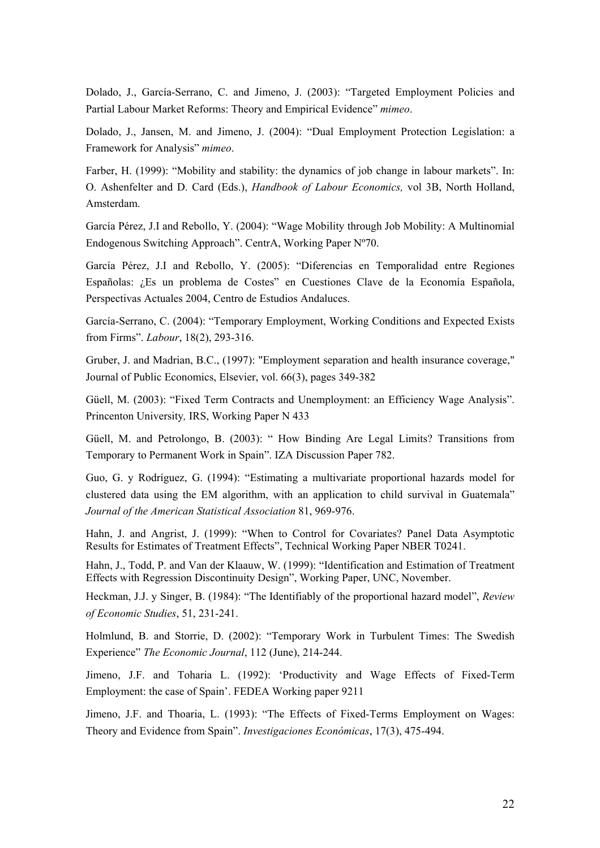Dolado, J., García-Serrano, C. and Jimeno, J. (2003): "Targeted Employment Policies and Partial Labour Market Reforms: Theory and Empirical Evidence" *mimeo*.

Dolado, J., Jansen, M. and Jimeno, J. (2004): "Dual Employment Protection Legislation: a Framework for Analysis" *mimeo*.

Farber, H. (1999): "Mobility and stability: the dynamics of job change in labour markets". In: O. Ashenfelter and D. Card (Eds.), *Handbook of Labour Economics,* vol 3B, North Holland, Amsterdam.

García Pérez, J.I and Rebollo, Y. (2004): "Wage Mobility through Job Mobility: A Multinomial Endogenous Switching Approach". CentrA, Working Paper Nº70.

García Pérez, J.I and Rebollo, Y. (2005): "Diferencias en Temporalidad entre Regiones Españolas: ¿Es un problema de Costes" en Cuestiones Clave de la Economía Española, Perspectivas Actuales 2004, Centro de Estudios Andaluces.

García-Serrano, C. (2004): "Temporary Employment, Working Conditions and Expected Exists from Firms". *Labour*, 18(2), 293-316.

Gruber, J. and Madrian, B.C., (1997): "Employment separation and health insurance coverage," Journal of Public Economics, Elsevier, vol. 66(3), pages 349-382

Güell, M. (2003): "Fixed Term Contracts and Unemployment: an Efficiency Wage Analysis". Princenton University*,* IRS, Working Paper N 433

Güell, M. and Petrolongo, B. (2003): " How Binding Are Legal Limits? Transitions from Temporary to Permanent Work in Spain". IZA Discussion Paper 782.

Guo, G. y Rodríguez, G. (1994): "Estimating a multivariate proportional hazards model for clustered data using the EM algorithm, with an application to child survival in Guatemala" *Journal of the American Statistical Association* 81, 969-976.

Hahn, J. and Angrist, J. (1999): "When to Control for Covariates? Panel Data Asymptotic Results for Estimates of Treatment Effects", Technical Working Paper NBER T0241.

Hahn, J., Todd, P. and Van der Klaauw, W. (1999): "Identification and Estimation of Treatment Effects with Regression Discontinuity Design", Working Paper, UNC, November.

Heckman, J.J. y Singer, B. (1984): "The Identifiably of the proportional hazard model", *Review of Economic Studies*, 51, 231-241.

Holmlund, B. and Storrie, D. (2002): "Temporary Work in Turbulent Times: The Swedish Experience" *The Economic Journal*, 112 (June), 214-244.

Jimeno, J.F. and Toharia L. (1992): 'Productivity and Wage Effects of Fixed-Term Employment: the case of Spain'. FEDEA Working paper 9211

Jimeno, J.F. and Thoaria, L. (1993): "The Effects of Fixed-Terms Employment on Wages: Theory and Evidence from Spain". *Investigaciones Económicas*, 17(3), 475-494.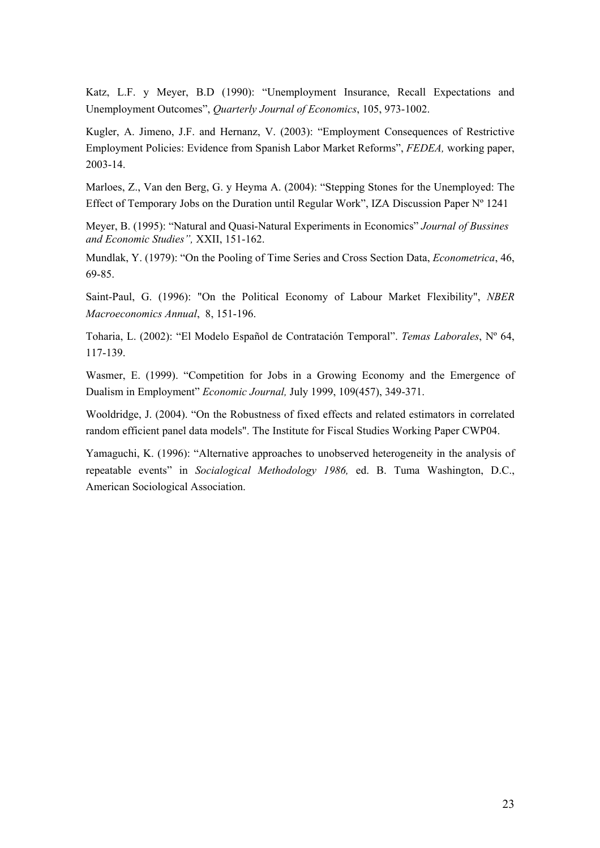Katz, L.F. y Meyer, B.D (1990): "Unemployment Insurance, Recall Expectations and Unemployment Outcomes", *Quarterly Journal of Economics*, 105, 973-1002.

Kugler, A. Jimeno, J.F. and Hernanz, V. (2003): "Employment Consequences of Restrictive Employment Policies: Evidence from Spanish Labor Market Reforms", *FEDEA,* working paper, 2003-14.

Marloes, Z., Van den Berg, G. y Heyma A. (2004): "Stepping Stones for the Unemployed: The Effect of Temporary Jobs on the Duration until Regular Work", IZA Discussion Paper Nº 1241

Meyer, B. (1995): "Natural and Quasi-Natural Experiments in Economics" *Journal of Bussines and Economic Studies",* XXII, 151-162.

Mundlak, Y. (1979): "On the Pooling of Time Series and Cross Section Data, *Econometrica*, 46, 69-85.

Saint-Paul, G. (1996): "On the Political Economy of Labour Market Flexibility", *NBER Macroeconomics Annual*, 8, 151-196.

Toharia, L. (2002): "El Modelo Español de Contratación Temporal". *Temas Laborales*, Nº 64, 117-139.

Wasmer, E. (1999). "Competition for Jobs in a Growing Economy and the Emergence of Dualism in Employment" *Economic Journal,* July 1999, 109(457), 349-371.

Wooldridge, J. (2004). "On the Robustness of fixed effects and related estimators in correlated random efficient panel data models". The Institute for Fiscal Studies Working Paper CWP04.

Yamaguchi, K. (1996): "Alternative approaches to unobserved heterogeneity in the analysis of repeatable events" in *Socialogical Methodology 1986,* ed. B. Tuma Washington, D.C., American Sociological Association.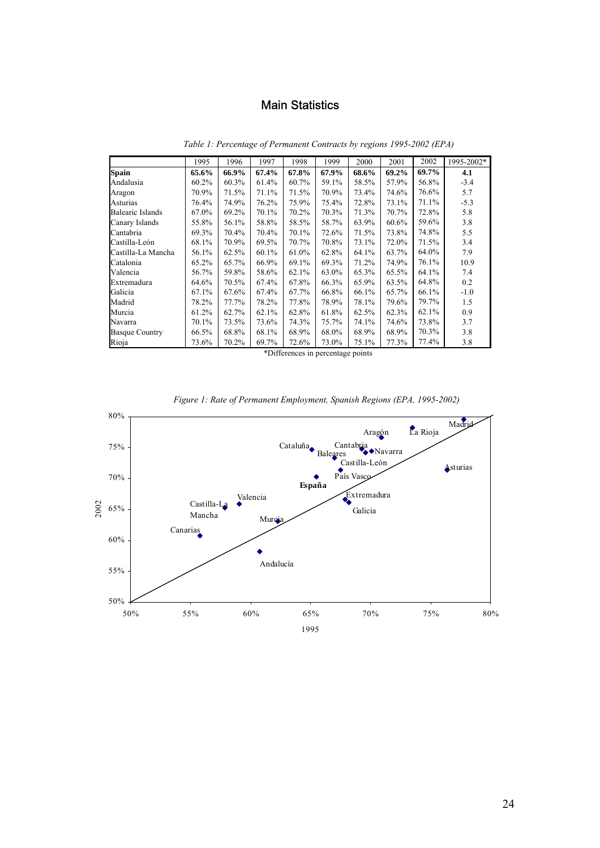# Main Statistics

|                       | 1995  | 1996  | 1997     | 1998  | 1999  | 2000  | 2001  | 2002  | 1995-2002* |
|-----------------------|-------|-------|----------|-------|-------|-------|-------|-------|------------|
| <b>Spain</b>          | 65.6% | 66.9% | 67.4%    | 67.8% | 67.9% | 68.6% | 69.2% | 69.7% | 4.1        |
| Andalusia             | 60.2% | 60.3% | 61.4%    | 60.7% | 59.1% | 58.5% | 57.9% | 56.8% | $-3.4$     |
| Aragon                | 70.9% | 71.5% | 71.1%    | 71.5% | 70.9% | 73.4% | 74.6% | 76.6% | 5.7        |
| Asturias              | 76.4% | 74.9% | 76.2%    | 75.9% | 75.4% | 72.8% | 73.1% | 71.1% | $-5.3$     |
| Balearic Islands      | 67.0% | 69.2% | 70.1%    | 70.2% | 70.3% | 71.3% | 70.7% | 72.8% | 5.8        |
| Canary Islands        | 55.8% | 56.1% | 58.8%    | 58.5% | 58.7% | 63.9% | 60.6% | 59.6% | 3.8        |
| Cantabria             | 69.3% | 70.4% | 70.4%    | 70.1% | 72.6% | 71.5% | 73.8% | 74.8% | 5.5        |
| Castilla-León         | 68.1% | 70.9% | 69.5%    | 70.7% | 70.8% | 73.1% | 72.0% | 71.5% | 3.4        |
| Castilla-La Mancha    | 56.1% | 62.5% | $60.1\%$ | 61.0% | 62.8% | 64.1% | 63.7% | 64.0% | 7.9        |
| Catalonia             | 65.2% | 65.7% | 66.9%    | 69.1% | 69.3% | 71.2% | 74.9% | 76.1% | 10.9       |
| Valencia              | 56.7% | 59.8% | 58.6%    | 62.1% | 63.0% | 65.3% | 65.5% | 64.1% | 7.4        |
| Extremadura           | 64.6% | 70.5% | 67.4%    | 67.8% | 66.3% | 65.9% | 63.5% | 64.8% | 0.2        |
| Galicia               | 67.1% | 67.6% | 67.4%    | 67.7% | 66.8% | 66.1% | 65.7% | 66.1% | $-1.0$     |
| Madrid                | 78.2% | 77.7% | 78.2%    | 77.8% | 78.9% | 78.1% | 79.6% | 79.7% | 1.5        |
| Murcia                | 61.2% | 62.7% | 62.1%    | 62.8% | 61.8% | 62.5% | 62.3% | 62.1% | 0.9        |
| Navarra               | 70.1% | 73.5% | 73.6%    | 74.3% | 75.7% | 74.1% | 74.6% | 73.8% | 3.7        |
| <b>Basque Country</b> | 66.5% | 68.8% | 68.1%    | 68.9% | 68.0% | 68.9% | 68.9% | 70.3% | 3.8        |
| Rioja                 | 73.6% | 70.2% | 69.7%    | 72.6% | 73.0% | 75.1% | 77.3% | 77.4% | 3.8        |

*1. Table 1: Percentage of Permanent Contracts by regions 1995-2002 (EPA)* 

\*Differences in percentage points



*1. Figure 1: Rate of Permanent Employment, Spanish Regions (EPA, 1995-2002)*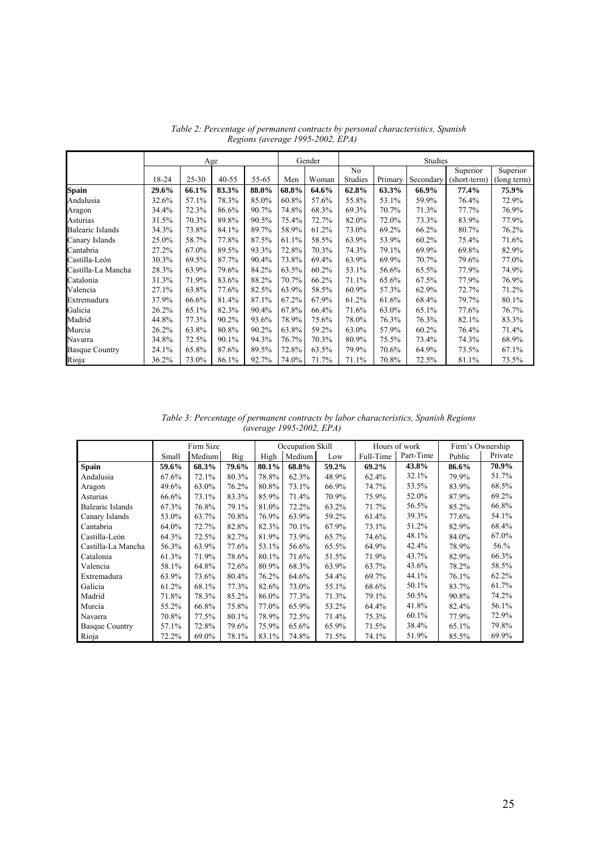|                       |       | Age       |           |       |       | Gender | Studies        |         |           |              |             |
|-----------------------|-------|-----------|-----------|-------|-------|--------|----------------|---------|-----------|--------------|-------------|
|                       |       |           |           |       |       |        | N <sub>0</sub> |         |           | Superior     | Superior    |
|                       | 18-24 | $25 - 30$ | $40 - 55$ | 55-65 | Men   | Woman  | Studies        | Primary | Secondary | (short-term) | (long term) |
| Spain                 | 29.6% | 66.1%     | 83.3%     | 88.0% | 68.8% | 64.6%  | 62.8%          | 63.3%   | 66.9%     | 77.4%        | 75.9%       |
| Andalusia             | 32.6% | 57.1%     | 78.3%     | 85.0% | 60.8% | 57.6%  | 55.8%          | 53.1%   | 59.9%     | 76.4%        | 72.9%       |
| Aragon                | 34.4% | 72.3%     | 86.6%     | 90.7% | 74.8% | 68.3%  | 69.3%          | 70.7%   | 71.3%     | 77.7%        | 76.9%       |
| Asturias              | 31.5% | 70.3%     | 89.8%     | 90.5% | 75.4% | 72.7%  | 82.0%          | 72.0%   | 73.3%     | 83.9%        | 77.9%       |
| Balearic Islands      | 34.3% | 73.8%     | 84.1%     | 89.7% | 58.9% | 61.2%  | 73.0%          | 69.2%   | 66.2%     | 80.7%        | 76.2%       |
| Canary Islands        | 25.0% | 58.7%     | 77.8%     | 87.5% | 61.1% | 58.5%  | 63.9%          | 53.9%   | 60.2%     | 75.4%        | 71.6%       |
| Cantabria             | 27.2% | 67.0%     | 89.5%     | 93.3% | 72.8% | 70.3%  | 74.3%          | 79.1%   | 69.9%     | 69.8%        | 82.9%       |
| Castilla-León         | 30.3% | 69.5%     | 87.7%     | 90.4% | 73.8% | 69.4%  | 63.9%          | 69.9%   | 70.7%     | 79.6%        | 77.0%       |
| Castilla-La Mancha    | 28.3% | 63.9%     | 79.6%     | 84.2% | 63.5% | 60.2%  | 53.1%          | 56.6%   | 65.5%     | 77.9%        | 74.9%       |
| Catalonia             | 31.3% | 71.9%     | 83.6%     | 88.2% | 70.7% | 66.2%  | 71.1%          | 65.6%   | 67.5%     | 77.9%        | 76.9%       |
| Valencia              | 27.1% | 63.8%     | 77.6%     | 82.5% | 63.9% | 58.5%  | 60.9%          | 57.3%   | 62.9%     | 72.7%        | 71.2%       |
| Extremadura           | 37.9% | 66.6%     | 81.4%     | 87.1% | 67.2% | 67.9%  | 61.2%          | 61.6%   | 68.4%     | 79.7%        | 80.1%       |
| Galicia               | 26.2% | 65.1%     | 82.3%     | 90.4% | 67.8% | 66.4%  | 71.6%          | 63.0%   | 65.1%     | 77.6%        | 76.7%       |
| Madrid                | 44.8% | 77.3%     | 90.2%     | 93.6% | 78.9% | 75.6%  | 78.0%          | 76.3%   | 76.3%     | 82.1%        | 83.3%       |
| Murcia                | 26.2% | 63.8%     | 80.8%     | 90.2% | 63.8% | 59.2%  | 63.0%          | 57.9%   | $60.2\%$  | 76.4%        | 71.4%       |
| Navarra               | 34.8% | 72.5%     | 90.1%     | 94.3% | 76.7% | 70.3%  | 80.9%          | 75.5%   | 73.4%     | 74.3%        | 68.9%       |
| <b>Basque Country</b> | 24.1% | 65.8%     | 87.6%     | 89.5% | 72.8% | 63.5%  | 79.9%          | 70.6%   | 64.9%     | 73.5%        | 67.1%       |
| Rioja                 | 36.2% | 73.0%     | 86.1%     | 92.7% | 74.0% | 71.7%  | 71.1%          | 70.8%   | 72.5%     | 81.1%        | 73.5%       |

*2. Table 2: Percentage of permanent contracts by personal characteristics, Spanish Regions (average 1995-2002, EPA)* 

*3. Table 3: Percentage of permanent contracts by labor characteristics, Spanish Regions (average 1995-2002, EPA)* 

|                       | Firm Size |        |            |       | Occupation Skill |       |           | Hours of work | Firm's Ownership |         |  |
|-----------------------|-----------|--------|------------|-------|------------------|-------|-----------|---------------|------------------|---------|--|
|                       | Small     | Medium | <b>Big</b> | High  | Medium           | Low   | Full-Time | Part-Time     | Public           | Private |  |
| <b>Spain</b>          | 59.6%     | 68.3%  | 79.6%      | 80.1% | 68.8%            | 59.2% | 69.2%     | 43.8%         | 86.6%            | 70.9%   |  |
| Andalusia             | 67.6%     | 72.1%  | 80.3%      | 78.8% | 62.3%            | 48.9% | 62.4%     | 32.1%         | 79.9%            | 51.7%   |  |
| Aragon                | 49.6%     | 63.0%  | 76.2%      | 80.8% | 73.1%            | 66.9% | 74.7%     | 53.5%         | 83.9%            | 68.5%   |  |
| Asturias              | 66.6%     | 73.1%  | 83.3%      | 85.9% | 71.4%            | 70.9% | 75.9%     | 52.0%         | 87.9%            | 69.2%   |  |
| Balearic Islands      | 67.3%     | 76.8%  | 79.1%      | 81.0% | 72.2%            | 63.2% | 71.7%     | 56.5%         | 85.2%            | 66.8%   |  |
| Canary Islands        | 53.0%     | 63.7%  | 70.8%      | 76.9% | 63.9%            | 59.2% | 61.4%     | 39.3%         | 77.6%            | 54.1%   |  |
| Cantabria             | 64.0%     | 72.7%  | 82.8%      | 82.3% | 70.1%            | 67.9% | 73.1%     | 51.2%         | 82.9%            | 68.4%   |  |
| Castilla-León         | 64.3%     | 72.5%  | 82.7%      | 81.9% | 73.9%            | 65.7% | 74.6%     | 48.1%         | 84.0%            | 67.0%   |  |
| Castilla-La Mancha    | 56.3%     | 63.9%  | 77.6%      | 53.1% | 56.6%            | 65.5% | 64.9%     | 42.4%         | 78.9%            | 56.%    |  |
| Catalonia             | 61.3%     | 71.9%  | 78.6%      | 80.1% | 71.6%            | 51.5% | 71.9%     | 43.7%         | 82.9%            | 66.3%   |  |
| Valencia              | 58.1%     | 64.8%  | 72.6%      | 80.9% | 68.3%            | 63.9% | 63.7%     | 43.6%         | 78.2%            | 58.5%   |  |
| Extremadura           | 63.9%     | 73.6%  | 80.4%      | 76.2% | 64.6%            | 54.4% | 69.7%     | 44.1%         | 76.1%            | 62.2%   |  |
| Galicia               | 61.2%     | 68.1%  | 77.3%      | 82.6% | 73.0%            | 55.1% | 68.6%     | 50.1%         | 83.7%            | 61.7%   |  |
| Madrid                | 71.8%     | 78.3%  | 85.2%      | 86.0% | 77.3%            | 71.3% | 79.1%     | 50.5%         | 90.8%            | 74.2%   |  |
| Murcia                | 55.2%     | 66.8%  | 75.8%      | 77.0% | 65.9%            | 53.2% | 64.4%     | 41.8%         | 82.4%            | 56.1%   |  |
| Navarra               | 70.8%     | 77.5%  | 80.1%      | 78.9% | 72.5%            | 71.4% | 75.3%     | 60.1%         | 77.9%            | 72.9%   |  |
| <b>Basque Country</b> | 57.1%     | 72.8%  | 79.6%      | 75.9% | 65.6%            | 65.9% | 71.5%     | 38.4%         | 65.1%            | 79.8%   |  |
| Rioja                 | 72.2%     | 69.0%  | 78.1%      | 83.1% | 74.8%            | 71.5% | 74.1%     | 51.9%         | 85.5%            | 69.9%   |  |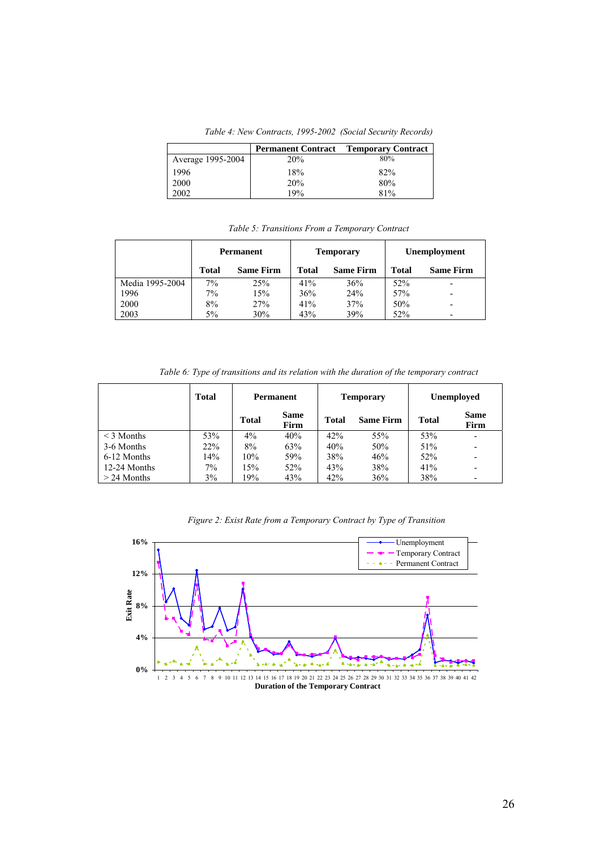*4. Table 4: New Contracts, 1995-2002 (Social Security Records)* 

|                   | <b>Permanent Contract</b> | <b>Temporary Contract</b> |
|-------------------|---------------------------|---------------------------|
| Average 1995-2004 | 20%                       | 80%                       |
| 1996              | 18%                       | 82%                       |
| 2000              | 20%                       | 80%                       |
| 2002              | 19%                       | 81%                       |

*5. Table 5: Transitions From a Temporary Contract* 

|                 | <b>Permanent</b> |                  |              | <b>Temporary</b> | Unemployment |                          |  |
|-----------------|------------------|------------------|--------------|------------------|--------------|--------------------------|--|
|                 | <b>Total</b>     | <b>Same Firm</b> | <b>Total</b> | <b>Same Firm</b> | Total        | <b>Same Firm</b>         |  |
| Media 1995-2004 | $7\%$            | 25%              | 41%          | 36%              | 52%          |                          |  |
| 1996            | 7%               | 15%              | 36%          | 24%              | 57%          |                          |  |
| 2000            | 8%               | 27%              | 41%          | 37%              | 50%          |                          |  |
| 2003            | 5%               | 30%              | 43%          | 39%              | 52%          | $\overline{\phantom{0}}$ |  |

*6. Table 6: Type of transitions and its relation with the duration of the temporary contract* 

|                 | <b>Total</b> | Permanent    |                     |              | <b>Temporary</b> | <b>Unemployed</b> |                          |  |
|-----------------|--------------|--------------|---------------------|--------------|------------------|-------------------|--------------------------|--|
|                 |              | <b>Total</b> | <b>Same</b><br>Firm | <b>Total</b> | <b>Same Firm</b> | <b>Total</b>      | <b>Same</b><br>Firm      |  |
| $\leq$ 3 Months | 53%          | $4\%$        | 40%                 | 42%          | 55%              | 53%               |                          |  |
| 3-6 Months      | 22%          | 8%           | 63%                 | 40%          | 50%              | 51%               | $\overline{\phantom{0}}$ |  |
| 6-12 Months     | 14%          | 10%          | 59%                 | 38%          | 46%              | 52%               |                          |  |
| 12-24 Months    | $7\%$        | 15%          | 52%                 | 43%          | 38%              | 41%               | $\overline{\phantom{a}}$ |  |
| $>$ 24 Months   | 3%           | 19%          | 43%                 | 42%          | 36%              | 38%               |                          |  |

*5. Figure 2: Exist Rate from a Temporary Contract by Type of Transition* 

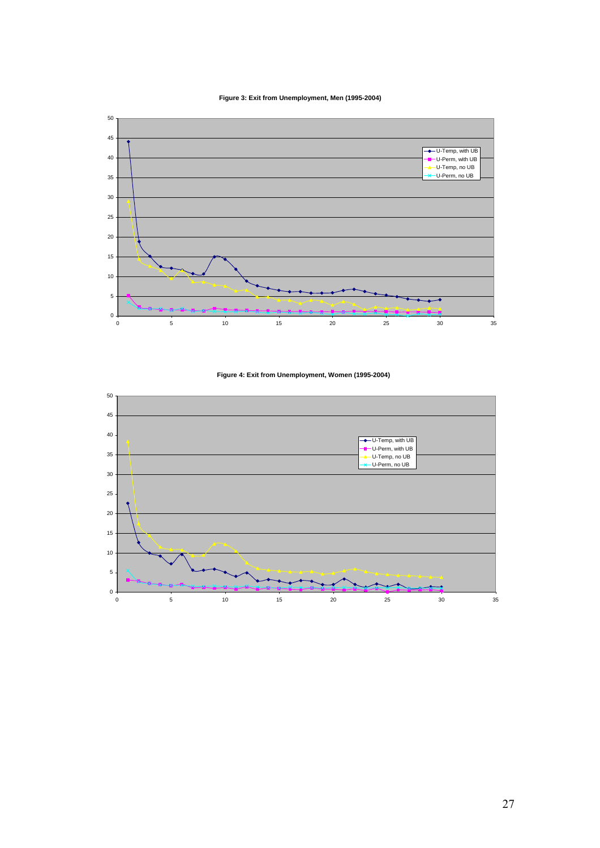**Figure 3: Exit from Unemployment, Men (1995-2004)**



### **Figure 4: Exit from Unemployment, Women (1995-2004)**

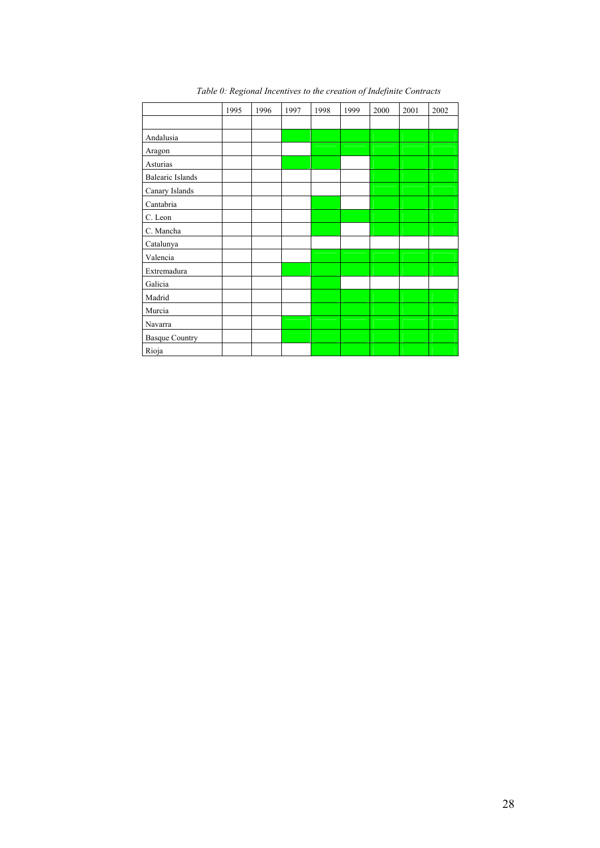|                         | 1995 | 1996 | 1997 | 1998 | 1999 | 2000 | 2001 | 2002 |
|-------------------------|------|------|------|------|------|------|------|------|
|                         |      |      |      |      |      |      |      |      |
| Andalusia               |      |      |      |      |      |      |      |      |
| Aragon                  |      |      |      |      |      |      |      |      |
| Asturias                |      |      |      |      |      |      |      |      |
| <b>Balearic Islands</b> |      |      |      |      |      |      |      |      |
| Canary Islands          |      |      |      |      |      |      |      |      |
| Cantabria               |      |      |      |      |      |      |      |      |
| C. Leon                 |      |      |      |      |      |      |      |      |
| C. Mancha               |      |      |      |      |      |      |      |      |
| Catalunya               |      |      |      |      |      |      |      |      |
| Valencia                |      |      |      |      |      |      |      |      |
| Extremadura             |      |      |      |      |      |      |      |      |
| Galicia                 |      |      |      |      |      |      |      |      |
| Madrid                  |      |      |      |      |      |      |      |      |
| Murcia                  |      |      |      |      |      |      |      |      |
| Navarra                 |      |      |      |      |      |      |      |      |
| <b>Basque Country</b>   |      |      |      |      |      |      |      |      |
| Rioja                   |      |      |      |      |      |      |      |      |

*11. Table 0: Regional Incentives to the creation of Indefinite Contracts*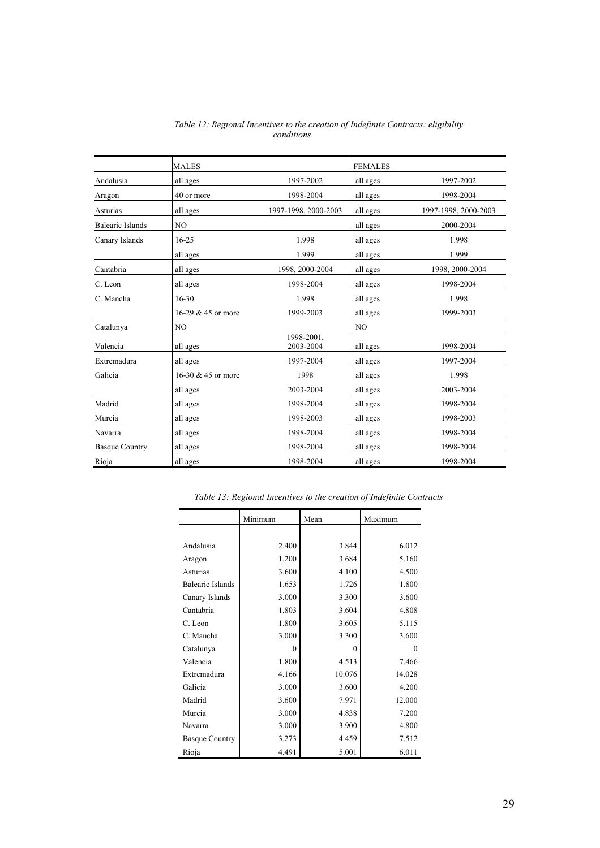|                         | <b>MALES</b>         |                         | <b>FEMALES</b> |                      |
|-------------------------|----------------------|-------------------------|----------------|----------------------|
| Andalusia               | all ages             | 1997-2002               | all ages       | 1997-2002            |
| Aragon                  | 40 or more           | 1998-2004               | all ages       | 1998-2004            |
| Asturias                | all ages             | 1997-1998, 2000-2003    | all ages       | 1997-1998, 2000-2003 |
| <b>Balearic Islands</b> | N <sub>O</sub>       |                         | all ages       | 2000-2004            |
| Canary Islands          | $16 - 25$            | 1.998                   | all ages       | 1.998                |
|                         | all ages             | 1.999                   | all ages       | 1.999                |
| Cantabria               | all ages             | 1998, 2000-2004         | all ages       | 1998, 2000-2004      |
| C. Leon                 | all ages             | 1998-2004               | all ages       | 1998-2004            |
| C. Mancha               | $16 - 30$            | 1.998                   | all ages       | 1.998                |
|                         | 16-29 & 45 or more   | 1999-2003               | all ages       | 1999-2003            |
| Catalunya               | N <sub>O</sub>       |                         | N <sub>O</sub> |                      |
| Valencia                | all ages             | 1998-2001.<br>2003-2004 | all ages       | 1998-2004            |
| Extremadura             | all ages             | 1997-2004               | all ages       | 1997-2004            |
| Galicia                 | 16-30 $&$ 45 or more | 1998                    | all ages       | 1.998                |
|                         | all ages             | 2003-2004               | all ages       | 2003-2004            |
| Madrid                  | all ages             | 1998-2004               | all ages       | 1998-2004            |
| Murcia                  | all ages             | 1998-2003               | all ages       | 1998-2003            |
| Navarra                 | all ages             | 1998-2004               | all ages       | 1998-2004            |
| <b>Basque Country</b>   | all ages             | 1998-2004               | all ages       | 1998-2004            |
| Rioja                   | all ages             | 1998-2004               | all ages       | 1998-2004            |

*12. Table 12: Regional Incentives to the creation of Indefinite Contracts: eligibility conditions* 

|                         | Minimum  | Mean   | Maximum  |
|-------------------------|----------|--------|----------|
|                         |          |        |          |
| Andalusia               | 2.400    | 3.844  | 6.012    |
| Aragon                  | 1.200    | 3.684  | 5.160    |
| Asturias                | 3.600    | 4.100  | 4.500    |
| <b>Balearic Islands</b> | 1.653    | 1.726  | 1.800    |
| Canary Islands          | 3.000    | 3.300  | 3.600    |
| Cantabria               | 1.803    | 3.604  | 4.808    |
| C. Leon                 | 1.800    | 3.605  | 5.115    |
| C. Mancha               | 3.000    | 3.300  | 3.600    |
| Catalunya               | $\theta$ | 0      | $\theta$ |
| Valencia                | 1.800    | 4.513  | 7.466    |
| Extremadura             | 4.166    | 10.076 | 14.028   |
| Galicia                 | 3.000    | 3.600  | 4.200    |
| Madrid                  | 3.600    | 7.971  | 12.000   |
| Murcia                  | 3.000    | 4.838  | 7.200    |
| Navarra                 | 3.000    | 3.900  | 4.800    |
| <b>Basque Country</b>   | 3.273    | 4.459  | 7.512    |
| Rioja                   | 4.491    | 5.001  | 6.011    |

*13. Table 13: Regional Incentives to the creation of Indefinite Contracts*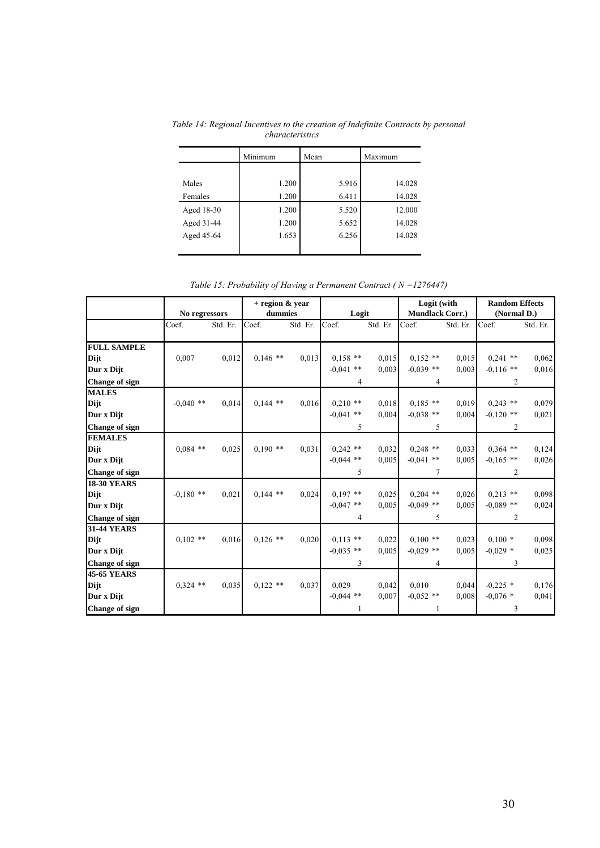|            | Minimum | Mean  | Maximum |  |  |
|------------|---------|-------|---------|--|--|
|            |         |       |         |  |  |
| Males      | 1.200   | 5.916 | 14.028  |  |  |
| Females    | 1.200   | 6.411 | 14.028  |  |  |
| Aged 18-30 | 1.200   | 5.520 | 12.000  |  |  |
| Aged 31-44 | 1.200   | 5.652 | 14.028  |  |  |
| Aged 45-64 | 1.653   | 6.256 | 14.028  |  |  |
|            |         |       |         |  |  |

*14. Table 14: Regional Incentives to the creation of Indefinite Contracts by personal characteristics* 

*15. Table 15: Probability of Having a Permanent Contract ( N =1276447)* 

|                       |               |          | $+$ region $\&$ year |          |             |          | Logit (with            |          | <b>Random Effects</b> |          |
|-----------------------|---------------|----------|----------------------|----------|-------------|----------|------------------------|----------|-----------------------|----------|
|                       | No regressors |          | dummies              |          | Logit       |          | <b>Mundlack Corr.)</b> |          | (Normal D.)           |          |
|                       | Coef.         | Std. Er. | Coef.                | Std. Er. | Coef.       | Std. Er. | Coef.                  | Std. Er. | Coef.                 | Std. Er. |
| <b>FULL SAMPLE</b>    |               |          |                      |          |             |          |                        |          |                       |          |
| Dijt                  | 0,007         | 0,012    | $0,146$ **           | 0,013    | $0.158$ **  | 0,015    | $0.152$ **             | 0.015    | $0,241$ **            | 0,062    |
| Dur x Dijt            |               |          |                      |          | $-0.041$ ** | 0.003    | $-0.039$ **            | 0.003    | $-0.116$ **           | 0,016    |
| <b>Change of sign</b> |               |          |                      |          | 4           |          | 4                      |          | 2                     |          |
| <b>MALES</b>          |               |          |                      |          |             |          |                        |          |                       |          |
| Dijt                  | $-0,040$ **   | 0,014    | $0.144$ **           | 0,016    | $0.210$ **  | 0,018    | $0,185$ **             | 0.019    | $0,243$ **            | 0,079    |
| Dur x Dijt            |               |          |                      |          | $-0.041$ ** | 0,004    | $-0.038$ **            | 0,004    | $-0,120$ **           | 0,021    |
| <b>Change of sign</b> |               |          |                      |          | 5           |          | 5                      |          | 2                     |          |
| <b>FEMALES</b>        |               |          |                      |          |             |          |                        |          |                       |          |
| Dijt                  | $0.084$ **    | 0,025    | $0.190$ **           | 0,031    | $0,242$ **  | 0,032    | $0,248$ **             | 0,033    | $0,364$ **            | 0,124    |
| Dur x Dijt            |               |          |                      |          | $-0.044$ ** | 0,005    | $-0,041$ **            | 0,005    | $-0.165$ **           | 0,026    |
| Change of sign        |               |          |                      |          | 5           |          | 7                      |          | 2                     |          |
| <b>18-30 YEARS</b>    |               |          |                      |          |             |          |                        |          |                       |          |
| Dijt                  | $-0,180$ **   | 0,021    | $0.144$ **           | 0,024    | $0.197$ **  | 0.025    | $0,204$ **             | 0.026    | $0.213$ **            | 0,098    |
| Dur x Dijt            |               |          |                      |          | $-0.047$ ** | 0.005    | $-0.049$ **            | 0.005    | $-0.089$ **           | 0,024    |
| Change of sign        |               |          |                      |          | 4           |          | 5                      |          | 2                     |          |
| <b>31-44 YEARS</b>    |               |          |                      |          |             |          |                        |          |                       |          |
| Dijt                  | $0,102$ **    | 0.016    | $0,126$ **           | 0,020    | $0.113$ **  | 0,022    | $0,100$ **             | 0,023    | $0,100*$              | 0,098    |
| Dur x Dijt            |               |          |                      |          | $-0.035$ ** | 0,005    | $-0.029$ **            | 0,005    | $-0.029$ *            | 0,025    |
| Change of sign        |               |          |                      |          | 3           |          | 4                      |          | 3                     |          |
| <b>45-65 YEARS</b>    |               |          |                      |          |             |          |                        |          |                       |          |
| Dijt                  | $0,324$ **    | 0,035    | $0,122$ **           | 0.037    | 0,029       | 0,042    | 0,010                  | 0,044    | $-0,225$ *            | 0,176    |
| Dur x Dijt            |               |          |                      |          | $-0,044$ ** | 0,007    | $-0,052$ **            | 0,008    | $-0.076$ *            | 0,041    |
| <b>Change of sign</b> |               |          |                      |          | 1           |          | 1                      |          | 3                     |          |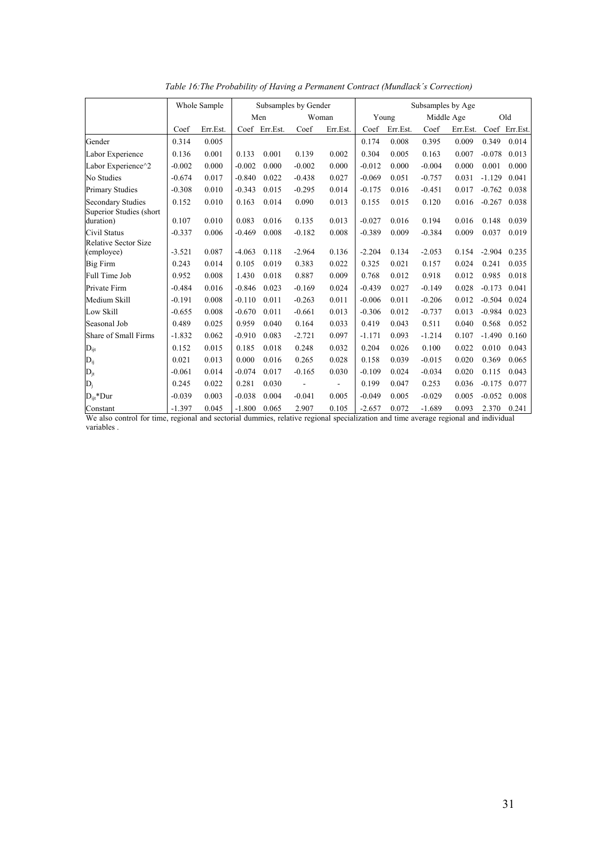|                                       |          | Whole Sample | Subsamples by Gender |               |                          |          |          | Subsamples by Age |            |          |          |               |  |
|---------------------------------------|----------|--------------|----------------------|---------------|--------------------------|----------|----------|-------------------|------------|----------|----------|---------------|--|
|                                       |          |              | Men                  |               | Woman                    |          |          | Young             | Middle Age |          |          | Old           |  |
|                                       | Coef     | Err.Est.     |                      | Coef Err.Est. | Coef                     | Err.Est. | Coef     | Err.Est.          | Coef       | Err.Est. |          | Coef Err.Est. |  |
| Gender                                | 0.314    | 0.005        |                      |               |                          |          | 0.174    | 0.008             | 0.395      | 0.009    | 0.349    | 0.014         |  |
| Labor Experience                      | 0.136    | 0.001        | 0.133                | 0.001         | 0.139                    | 0.002    | 0.304    | 0.005             | 0.163      | 0.007    | $-0.078$ | 0.013         |  |
| Labor Experience <sup>^2</sup>        | $-0.002$ | 0.000        | $-0.002$             | 0.000         | $-0.002$                 | 0.000    | $-0.012$ | 0.000             | $-0.004$   | 0.000    | 0.001    | 0.000         |  |
| No Studies                            | $-0.674$ | 0.017        | $-0.840$             | 0.022         | $-0.438$                 | 0.027    | $-0.069$ | 0.051             | $-0.757$   | 0.031    | $-1.129$ | 0.041         |  |
| <b>Primary Studies</b>                | $-0.308$ | 0.010        | $-0.343$             | 0.015         | $-0.295$                 | 0.014    | $-0.175$ | 0.016             | $-0.451$   | 0.017    | $-0.762$ | 0.038         |  |
| <b>Secondary Studies</b>              | 0.152    | 0.010        | 0.163                | 0.014         | 0.090                    | 0.013    | 0.155    | 0.015             | 0.120      | 0.016    | $-0.267$ | 0.038         |  |
| Superior Studies (short)<br>duration) | 0.107    | 0.010        | 0.083                | 0.016         | 0.135                    | 0.013    | $-0.027$ | 0.016             | 0.194      | 0.016    | 0.148    | 0.039         |  |
| Civil Status                          | $-0.337$ | 0.006        | $-0.469$             | 0.008         | $-0.182$                 | 0.008    | $-0.389$ | 0.009             | $-0.384$   | 0.009    | 0.037    | 0.019         |  |
| <b>Relative Sector Size</b>           |          |              |                      |               |                          |          |          |                   |            |          |          |               |  |
| (employee)                            | $-3.521$ | 0.087        | $-4.063$             | 0.118         | $-2.964$                 | 0.136    | $-2.204$ | 0.134             | $-2.053$   | 0.154    | $-2.904$ | 0.235         |  |
| <b>Big Firm</b>                       | 0.243    | 0.014        | 0.105                | 0.019         | 0.383                    | 0.022    | 0.325    | 0.021             | 0.157      | 0.024    | 0.241    | 0.035         |  |
| Full Time Job                         | 0.952    | 0.008        | 1.430                | 0.018         | 0.887                    | 0.009    | 0.768    | 0.012             | 0.918      | 0.012    | 0.985    | 0.018         |  |
| Private Firm                          | $-0.484$ | 0.016        | $-0.846$             | 0.023         | $-0.169$                 | 0.024    | $-0.439$ | 0.027             | $-0.149$   | 0.028    | $-0.173$ | 0.041         |  |
| Medium Skill                          | $-0.191$ | 0.008        | $-0.110$             | 0.011         | $-0.263$                 | 0.011    | $-0.006$ | 0.011             | $-0.206$   | 0.012    | $-0.504$ | 0.024         |  |
| Low Skill                             | $-0.655$ | 0.008        | $-0.670$             | 0.011         | $-0.661$                 | 0.013    | $-0.306$ | 0.012             | $-0.737$   | 0.013    | $-0.984$ | 0.023         |  |
| Seasonal Job                          | 0.489    | 0.025        | 0.959                | 0.040         | 0.164                    | 0.033    | 0.419    | 0.043             | 0.511      | 0.040    | 0.568    | 0.052         |  |
| Share of Small Firms                  | $-1.832$ | 0.062        | $-0.910$             | 0.083         | $-2.721$                 | 0.097    | $-1.171$ | 0.093             | $-1.214$   | 0.107    | $-1.490$ | 0.160         |  |
| $D_{ijt}$                             | 0.152    | 0.015        | 0.185                | 0.018         | 0.248                    | 0.032    | 0.204    | 0.026             | 0.100      | 0.022    | 0.010    | 0.043         |  |
| $D_{ij}$                              | 0.021    | 0.013        | 0.000                | 0.016         | 0.265                    | 0.028    | 0.158    | 0.039             | $-0.015$   | 0.020    | 0.369    | 0.065         |  |
| $D_{jt}$                              | $-0.061$ | 0.014        | $-0.074$             | 0.017         | $-0.165$                 | 0.030    | $-0.109$ | 0.024             | $-0.034$   | 0.020    | 0.115    | 0.043         |  |
| $D_j$                                 | 0.245    | 0.022        | 0.281                | 0.030         | $\overline{\phantom{a}}$ | ÷,       | 0.199    | 0.047             | 0.253      | 0.036    | $-0.175$ | 0.077         |  |
| $D_{\text{ii}^*}$ Dur                 | $-0.039$ | 0.003        | $-0.038$             | 0.004         | $-0.041$                 | 0.005    | $-0.049$ | 0.005             | $-0.029$   | 0.005    | $-0.052$ | 0.008         |  |
| Constant                              | $-1.397$ | 0.045        | $-1.800$             | 0.065         | 2.907                    | 0.105    | $-2.657$ | 0.072             | $-1.689$   | 0.093    | 2.370    | 0.241         |  |

*16. Table 16:The Probability of Having a Permanent Contract (Mundlack´s Correction)* 

We also control for time, regional and sectorial dummies, relative regional specialization and time average regional and individual variables .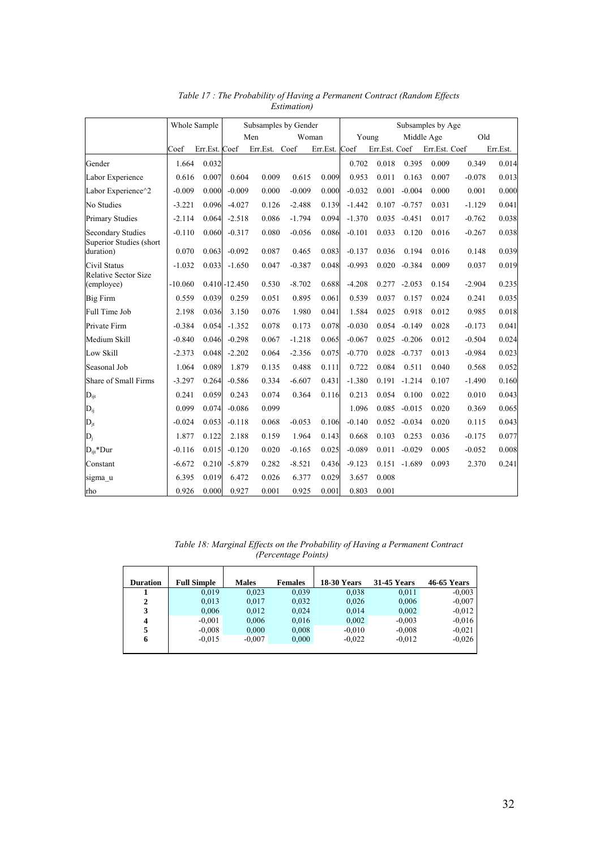|                                                     | Whole Sample |               | Subsamples by Gender |          |          |               | Subsamples by Age |               |            |               |          |          |  |
|-----------------------------------------------------|--------------|---------------|----------------------|----------|----------|---------------|-------------------|---------------|------------|---------------|----------|----------|--|
|                                                     |              |               | Men                  |          | Woman    |               | Young             |               | Middle Age |               |          | Old      |  |
|                                                     | Coef         | Err.Est. Coef |                      | Err.Est. | Coef     | Err.Est. Coef |                   | Err.Est. Coef |            | Err.Est. Coef |          | Err.Est. |  |
| Gender                                              | 1.664        | 0.032         |                      |          |          |               | 0.702             | 0.018         | 0.395      | 0.009         | 0.349    | 0.014    |  |
| Labor Experience                                    | 0.616        | 0.007         | 0.604                | 0.009    | 0.615    | 0.009         | 0.953             | 0.011         | 0.163      | 0.007         | $-0.078$ | 0.013    |  |
| Labor Experience <sup>^2</sup>                      | $-0.009$     | 0.000         | $-0.009$             | 0.000    | $-0.009$ | 0.000         | $-0.032$          | 0.001         | $-0.004$   | 0.000         | 0.001    | 0.000    |  |
| No Studies                                          | $-3.221$     | 0.096         | $-4.027$             | 0.126    | $-2.488$ | 0.139         | $-1.442$          | 0.107         | $-0.757$   | 0.031         | $-1.129$ | 0.041    |  |
| <b>Primary Studies</b>                              | $-2.114$     | 0.064         | $-2.518$             | 0.086    | $-1.794$ | 0.094         | $-1.370$          | 0.035         | $-0.451$   | 0.017         | $-0.762$ | 0.038    |  |
| <b>Secondary Studies</b><br>Superior Studies (short | $-0.110$     | 0.060         | $-0.317$             | 0.080    | $-0.056$ | 0.086         | $-0.101$          | 0.033         | 0.120      | 0.016         | $-0.267$ | 0.038    |  |
| duration)                                           | 0.070        | 0.063         | $-0.092$             | 0.087    | 0.465    | 0.083         | $-0.137$          | 0.036         | 0.194      | 0.016         | 0.148    | 0.039    |  |
| Civil Status<br>Relative Sector Size                | $-1.032$     | 0.033         | $-1.650$             | 0.047    | $-0.387$ | 0.048         | $-0.993$          | 0.020         | $-0.384$   | 0.009         | 0.037    | 0.019    |  |
| (employee)                                          | $-10.060$    |               | $0.410 - 12.450$     | 0.530    | $-8.702$ | 0.688         | $-4.208$          | 0.277         | $-2.053$   | 0.154         | $-2.904$ | 0.235    |  |
| <b>Big Firm</b>                                     | 0.559        | 0.039         | 0.259                | 0.051    | 0.895    | 0.061         | 0.539             | 0.037         | 0.157      | 0.024         | 0.241    | 0.035    |  |
| Full Time Job                                       | 2.198        | 0.036         | 3.150                | 0.076    | 1.980    | 0.041         | 1.584             | 0.025         | 0.918      | 0.012         | 0.985    | 0.018    |  |
| Private Firm                                        | $-0.384$     | 0.054         | $-1.352$             | 0.078    | 0.173    | 0.078         | $-0.030$          | 0.054         | $-0.149$   | 0.028         | $-0.173$ | 0.041    |  |
| Medium Skill                                        | $-0.840$     | 0.046         | $-0.298$             | 0.067    | $-1.218$ | 0.065         | $-0.067$          | 0.025         | $-0.206$   | 0.012         | $-0.504$ | 0.024    |  |
| Low Skill                                           | $-2.373$     | 0.048         | $-2.202$             | 0.064    | $-2.356$ | 0.075         | $-0.770$          | 0.028         | $-0.737$   | 0.013         | $-0.984$ | 0.023    |  |
| Seasonal Job                                        | 1.064        | 0.089         | 1.879                | 0.135    | 0.488    | 0.111         | 0.722             | 0.084         | 0.511      | 0.040         | 0.568    | 0.052    |  |
| Share of Small Firms                                | $-3.297$     | 0.264         | $-0.586$             | 0.334    | $-6.607$ | 0.431         | $-1.380$          | 0.191         | $-1.214$   | 0.107         | $-1.490$ | 0.160    |  |
| $D_{ijt}$                                           | 0.241        | 0.059         | 0.243                | 0.074    | 0.364    | 0.116         | 0.213             | 0.054         | 0.100      | 0.022         | 0.010    | 0.043    |  |
| $D_{ij}$                                            | 0.099        | 0.074         | $-0.086$             | 0.099    |          |               | 1.096             | 0.085         | $-0.015$   | 0.020         | 0.369    | 0.065    |  |
| $D_{jt}$                                            | $-0.024$     | 0.053         | $-0.118$             | 0.068    | $-0.053$ | 0.106         | $-0.140$          | 0.052         | $-0.034$   | 0.020         | 0.115    | 0.043    |  |
| $D_i$                                               | 1.877        | 0.122         | 2.188                | 0.159    | 1.964    | 0.143         | 0.668             | 0.103         | 0.253      | 0.036         | $-0.175$ | 0.077    |  |
| $D_{\rm{ii}}$ * $D$ ur                              | $-0.116$     | 0.015         | $-0.120$             | 0.020    | $-0.165$ | 0.025         | $-0.089$          | 0.011         | $-0.029$   | 0.005         | $-0.052$ | 0.008    |  |
| Constant                                            | $-6.672$     | 0.210         | $-5.879$             | 0.282    | $-8.521$ | 0.436         | $-9.123$          | 0.151         | $-1.689$   | 0.093         | 2.370    | 0.241    |  |
| sigma u                                             | 6.395        | 0.019         | 6.472                | 0.026    | 6.377    | 0.029         | 3.657             | 0.008         |            |               |          |          |  |
| rho                                                 | 0.926        | 0.000         | 0.927                | 0.001    | 0.925    | 0.001         | 0.803             | 0.001         |            |               |          |          |  |

*17. Table 17 : The Probability of Having a Permanent Contract (Random Effects Estimation)* 

*18. Table 18: Marginal Effects on the Probability of Having a Permanent Contract (Percentage Points)* 

| <b>Duration</b>         | <b>Full Simple</b> | <b>Males</b> | <b>Females</b> | <b>18-30 Years</b> | <b>31-45 Years</b> | 46-65 Years |
|-------------------------|--------------------|--------------|----------------|--------------------|--------------------|-------------|
|                         |                    |              |                |                    |                    |             |
|                         | 0.019              | 0,023        | 0.039          | 0,038              | 0.011              | $-0.003$    |
| $\mathbf 2$             | 0,013              | 0,017        | 0,032          | 0,026              | 0,006              | $-0.007$    |
| 3                       | 0,006              | 0,012        | 0,024          | 0.014              | 0,002              | $-0.012$    |
| $\overline{\mathbf{4}}$ | $-0.001$           | 0,006        | 0,016          | 0,002              | $-0.003$           | $-0.016$    |
| 5                       | $-0.008$           | 0,000        | 0,008          | $-0.010$           | $-0.008$           | $-0.021$    |
| 6                       | $-0.015$           | $-0.007$     | 0,000          | $-0.022$           | $-0.012$           | $-0.026$    |
|                         |                    |              |                |                    |                    |             |